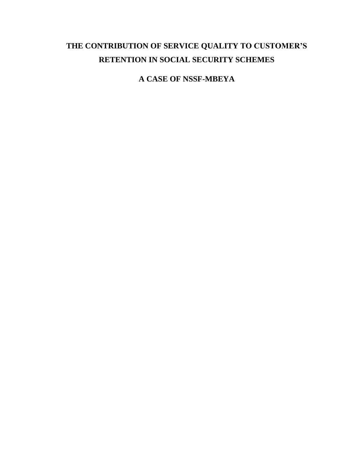# **THE CONTRIBUTION OF SERVICE QUALITY TO CUSTOMER'S RETENTION IN SOCIAL SECURITY SCHEMES**

**A CASE OF NSSF-MBEYA**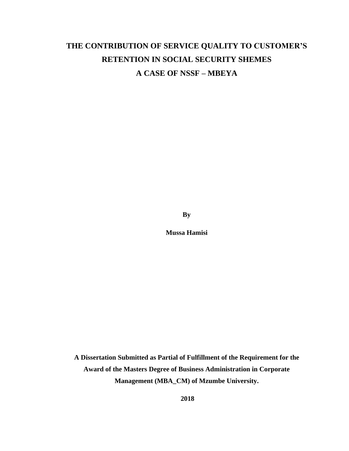# **THE CONTRIBUTION OF SERVICE QUALITY TO CUSTOMER'S RETENTION IN SOCIAL SECURITY SHEMES A CASE OF NSSF – MBEYA**

**By**

**Mussa Hamisi**

**A Dissertation Submitted as Partial of Fulfillment of the Requirement for the Award of the Masters Degree of Business Administration in Corporate Management (MBA\_CM) of Mzumbe University.**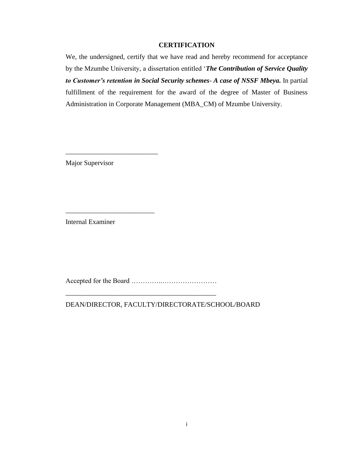# **CERTIFICATION**

<span id="page-2-0"></span>We, the undersigned, certify that we have read and hereby recommend for acceptance by the Mzumbe University, a dissertation entitled '*The Contribution of Service Quality to Customer's retention in Social Security schemes*- *A case of NSSF Mbeya.* In partial fulfillment of the requirement for the award of the degree of Master of Business Administration in Corporate Management (MBA\_CM) of Mzumbe University.

Major Supervisor

\_\_\_\_\_\_\_\_\_\_\_\_\_\_\_\_\_\_\_\_\_\_\_\_\_\_\_

\_\_\_\_\_\_\_\_\_\_\_\_\_\_\_\_\_\_\_\_\_\_\_\_\_\_

Internal Examiner

Accepted for the Board …………..……………………

\_\_\_\_\_\_\_\_\_\_\_\_\_\_\_\_\_\_\_\_\_\_\_\_\_\_\_\_\_\_\_\_\_\_\_\_\_\_\_\_\_\_\_\_

DEAN/DIRECTOR, FACULTY/DIRECTORATE/SCHOOL/BOARD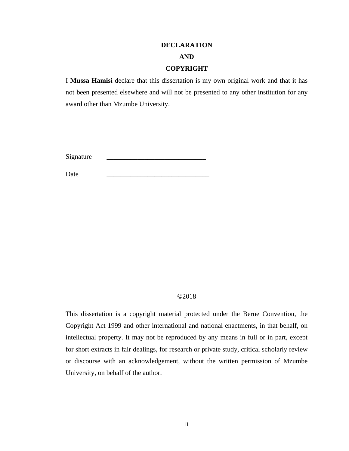### **DECLARATION**

# **AND**

#### **COPYRIGHT**

<span id="page-3-1"></span><span id="page-3-0"></span>I **Mussa Hamisi** declare that this dissertation is my own original work and that it has not been presented elsewhere and will not be presented to any other institution for any award other than Mzumbe University.

Signature

Date \_\_\_\_\_\_\_\_\_\_\_\_\_\_\_\_\_\_\_\_\_\_\_\_\_\_\_\_\_\_

#### ©2018

This dissertation is a copyright material protected under the Berne Convention, the Copyright Act 1999 and other international and national enactments, in that behalf, on intellectual property. It may not be reproduced by any means in full or in part, except for short extracts in fair dealings, for research or private study, critical scholarly review or discourse with an acknowledgement, without the written permission of Mzumbe University, on behalf of the author.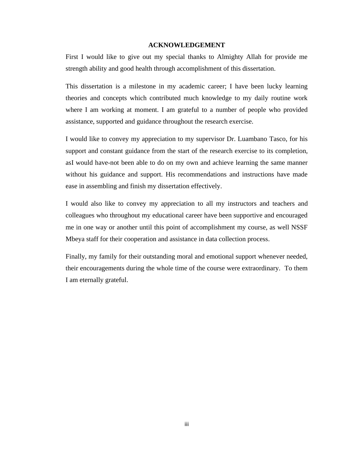#### **ACKNOWLEDGEMENT**

<span id="page-4-0"></span>First I would like to give out my special thanks to Almighty Allah for provide me strength ability and good health through accomplishment of this dissertation.

This dissertation is a milestone in my academic career; I have been lucky learning theories and concepts which contributed much knowledge to my daily routine work where I am working at moment. I am grateful to a number of people who provided assistance, supported and guidance throughout the research exercise.

I would like to convey my appreciation to my supervisor Dr. Luambano Tasco, for his support and constant guidance from the start of the research exercise to its completion, asI would have-not been able to do on my own and achieve learning the same manner without his guidance and support. His recommendations and instructions have made ease in assembling and finish my dissertation effectively.

I would also like to convey my appreciation to all my instructors and teachers and colleagues who throughout my educational career have been supportive and encouraged me in one way or another until this point of accomplishment my course, as well NSSF Mbeya staff for their cooperation and assistance in data collection process.

Finally, my family for their outstanding moral and emotional support whenever needed, their encouragements during the whole time of the course were extraordinary. To them I am eternally grateful.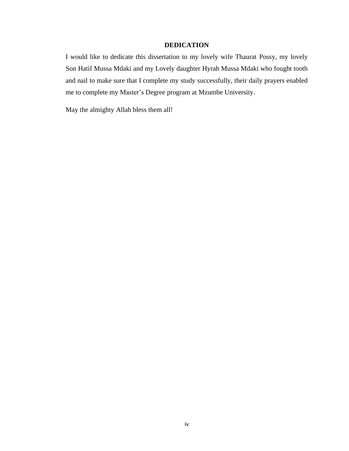# **DEDICATION**

<span id="page-5-0"></span>I would like to dedicate this dissertation to my lovely wife Thaurat Possy, my lovely Son Hatif Mussa Mdaki and my Lovely daughter Hyrah Mussa Mdaki who fought tooth and nail to make sure that I complete my study successfully, their daily prayers enabled me to complete my Master's Degree program at Mzumbe University.

May the almighty Allah bless them all!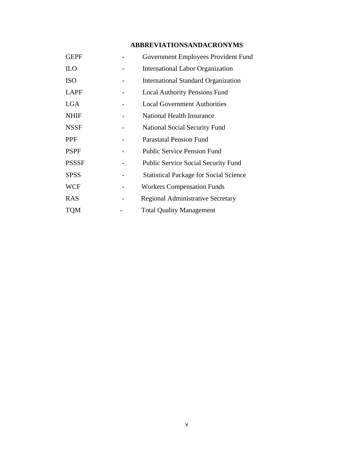# **ABBREVIATIONSANDACRONYMS**

<span id="page-6-0"></span>

| <b>GEPF</b>  | Government Employees Provident Fund           |
|--------------|-----------------------------------------------|
| <b>ILO</b>   | <b>International Labor Organization</b>       |
| <b>ISO</b>   | <b>International Standard Organization</b>    |
| LAPF         | <b>Local Authority Pensions Fund</b>          |
| <b>LGA</b>   | <b>Local Government Authorities</b>           |
| <b>NHIF</b>  | National Health Insurance                     |
| <b>NSSF</b>  | <b>National Social Security Fund</b>          |
| PPF          | <b>Parastatal Pension Fund</b>                |
| <b>PSPF</b>  | <b>Public Service Pension Fund</b>            |
| <b>PSSSF</b> | <b>Public Service Social Security Fund</b>    |
| <b>SPSS</b>  | <b>Statistical Package for Social Science</b> |
| WCF          | <b>Workers Compensation Funds</b>             |
| <b>RAS</b>   | <b>Regional Administrative Secretary</b>      |
| TQM          | <b>Total Quality Management</b>               |
|              |                                               |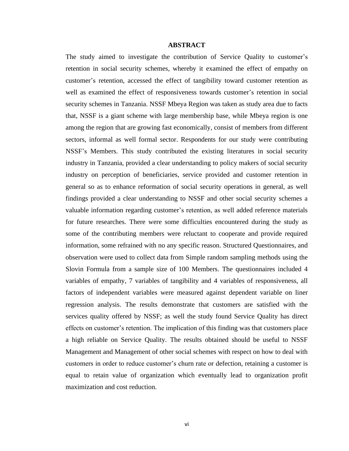#### **ABSTRACT**

<span id="page-7-0"></span>The study aimed to investigate the contribution of Service Quality to customer's retention in social security schemes, whereby it examined the effect of empathy on customer's retention, accessed the effect of tangibility toward customer retention as well as examined the effect of responsiveness towards customer's retention in social security schemes in Tanzania. NSSF Mbeya Region was taken as study area due to facts that, NSSF is a giant scheme with large membership base, while Mbeya region is one among the region that are growing fast economically, consist of members from different sectors, informal as well formal sector. Respondents for our study were contributing NSSF's Members. This study contributed the existing literatures in social security industry in Tanzania, provided a clear understanding to policy makers of social security industry on perception of beneficiaries, service provided and customer retention in general so as to enhance reformation of social security operations in general, as well findings provided a clear understanding to NSSF and other social security schemes a valuable information regarding customer's retention, as well added reference materials for future researches. There were some difficulties encountered during the study as some of the contributing members were reluctant to cooperate and provide required information, some refrained with no any specific reason. Structured Questionnaires, and observation were used to collect data from Simple random sampling methods using the Slovin Formula from a sample size of 100 Members. The questionnaires included 4 variables of empathy, 7 variables of tangibility and 4 variables of responsiveness, all factors of independent variables were measured against dependent variable on liner regression analysis. The results demonstrate that customers are satisfied with the services quality offered by NSSF; as well the study found Service Quality has direct effects on customer's retention. The implication of this finding was that customers place a high reliable on Service Quality. The results obtained should be useful to NSSF Management and Management of other social schemes with respect on how to deal with customers in order to reduce customer's churn rate or defection, retaining a customer is equal to retain value of organization which eventually lead to organization profit maximization and cost reduction.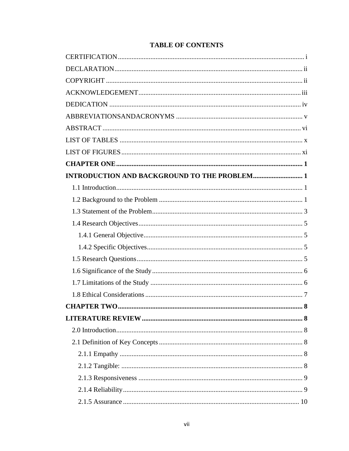| <b>INTRODUCTION AND BACKGROUND TO THE PROBLEM 1</b> |   |
|-----------------------------------------------------|---|
|                                                     |   |
|                                                     |   |
|                                                     |   |
|                                                     |   |
|                                                     |   |
|                                                     |   |
|                                                     |   |
|                                                     |   |
|                                                     |   |
|                                                     |   |
| <b>CHAPTER TWO.</b>                                 | 8 |
|                                                     |   |
|                                                     |   |
|                                                     |   |
|                                                     |   |
|                                                     |   |
|                                                     |   |
|                                                     |   |
|                                                     |   |

# **TABLE OF CONTENTS**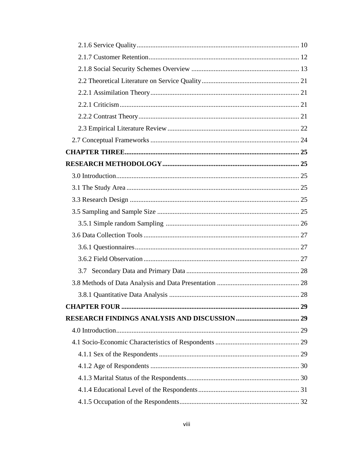| 3.7 |  |
|-----|--|
|     |  |
| 28  |  |
|     |  |
|     |  |
|     |  |
|     |  |
|     |  |
|     |  |
|     |  |
|     |  |
|     |  |
|     |  |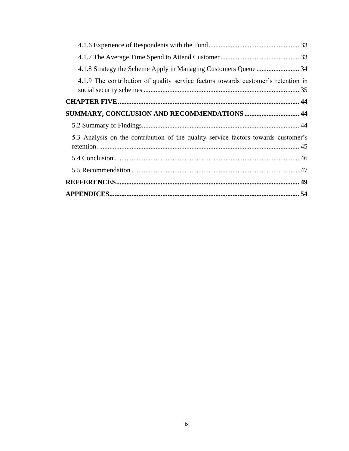| 4.1.9 The contribution of quality service factors towards customer's retention in  |  |
|------------------------------------------------------------------------------------|--|
|                                                                                    |  |
| <b>SUMMARY, CONCLUSION AND RECOMMENDATIONS  44</b>                                 |  |
|                                                                                    |  |
| 5.3 Analysis on the contribution of the quality service factors towards customer's |  |
|                                                                                    |  |
|                                                                                    |  |
|                                                                                    |  |
|                                                                                    |  |
|                                                                                    |  |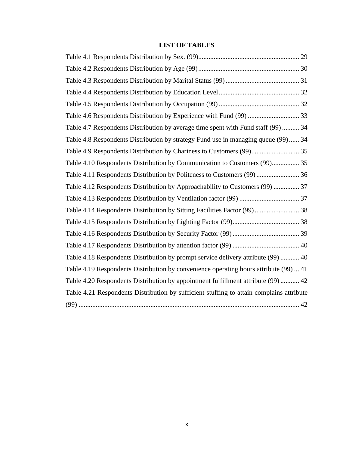# **LIST OF TABLES**

<span id="page-11-0"></span>

| Table 4.6 Respondents Distribution by Experience with Fund (99)  33                      |
|------------------------------------------------------------------------------------------|
| Table 4.7 Respondents Distribution by average time spent with Fund staff (99)  34        |
| Table 4.8 Respondents Distribution by strategy Fund use in managing queue (99) 34        |
| Table 4.9 Respondents Distribution by Chariness to Customers (99) 35                     |
| Table 4.10 Respondents Distribution by Communication to Customers (99) 35                |
| Table 4.11 Respondents Distribution by Politeness to Customers (99)  36                  |
| Table 4.12 Respondents Distribution by Approachability to Customers (99)  37             |
|                                                                                          |
|                                                                                          |
|                                                                                          |
|                                                                                          |
|                                                                                          |
| Table 4.18 Respondents Distribution by prompt service delivery attribute (99)  40        |
| Table 4.19 Respondents Distribution by convenience operating hours attribute (99)  41    |
| Table 4.20 Respondents Distribution by appointment fulfillment attribute (99)  42        |
| Table 4.21 Respondents Distribution by sufficient stuffing to attain complains attribute |
|                                                                                          |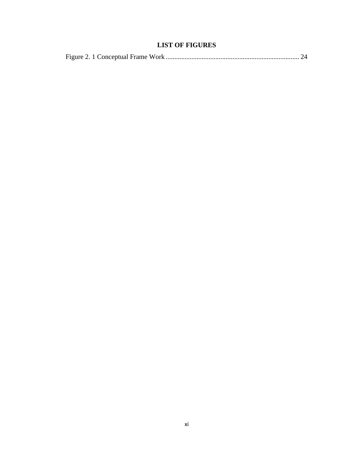# **LIST OF FIGURES**

<span id="page-12-0"></span>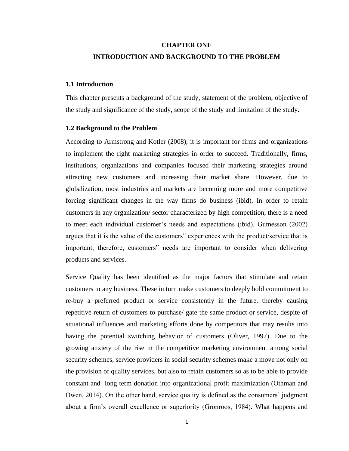# <span id="page-13-0"></span>**CHAPTER ONE INTRODUCTION AND BACKGROUND TO THE PROBLEM**

# <span id="page-13-2"></span><span id="page-13-1"></span>**1.1 Introduction**

This chapter presents a background of the study, statement of the problem, objective of the study and significance of the study, scope of the study and limitation of the study.

### <span id="page-13-3"></span>**1.2 Background to the Problem**

According to Armstrong and Kotler (2008), it is important for firms and organizations to implement the right marketing strategies in order to succeed. Traditionally, firms, institutions, organizations and companies focused their marketing strategies around attracting new customers and increasing their market share. However, due to globalization, most industries and markets are becoming more and more competitive forcing significant changes in the way firms do business (ibid). In order to retain customers in any organization/ sector characterized by high competition, there is a need to meet each individual customer's needs and expectations (ibid). Gumesson (2002) argues that it is the value of the customers" experiences with the product/service that is important, therefore, customers" needs are important to consider when delivering products and services.

Service Quality has been identified as the major factors that stimulate and retain customers in any business. These in turn make customers to deeply hold commitment to re-buy a preferred product or service consistently in the future, thereby causing repetitive return of customers to purchase/ gate the same product or service, despite of situational influences and marketing efforts done by competitors that may results into having the potential switching behavior of customers (Oliver, 1997). Due to the growing anxiety of the rise in the competitive marketing environment among social security schemes, service providers in social security schemes make a move not only on the provision of quality services, but also to retain customers so as to be able to provide constant and long term donation into organizational profit maximization (Othman and Owen, 2014). On the other hand, service quality is defined as the consumers' judgment about a firm's overall excellence or superiority (Gronroos, 1984). What happens and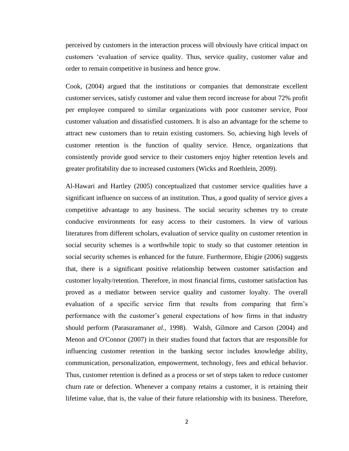perceived by customers in the interaction process will obviously have critical impact on customers 'evaluation of service quality. Thus, service quality, customer value and order to remain competitive in business and hence grow.

Cook, (2004) argued that the institutions or companies that demonstrate excellent customer services, satisfy customer and value them record increase for about 72% profit per employee compared to similar organizations with poor customer service, Poor customer valuation and dissatisfied customers. It is also an advantage for the scheme to attract new customers than to retain existing customers. So, achieving high levels of customer retention is the function of quality service. Hence, organizations that consistently provide good service to their customers enjoy higher retention levels and greater profitability due to increased customers (Wicks and Roethlein, 2009).

Al-Hawari and Hartley (2005) conceptualized that customer service qualities have a significant influence on success of an institution. Thus, a good quality of service gives a competitive advantage to any business. The social security schemes try to create conducive environments for easy access to their customers. In view of various literatures from different scholars, evaluation of service quality on customer retention in social security schemes is a worthwhile topic to study so that customer retention in social security schemes is enhanced for the future. Furthermore, Ehigie (2006) suggests that, there is a significant positive relationship between customer satisfaction and customer loyalty/retention. Therefore, in most financial firms, customer satisfaction has proved as a mediator between service quality and customer loyalty. The overall evaluation of a specific service firm that results from comparing that firm's performance with the customer's general expectations of how firms in that industry should perform (Parasuraman*et al.,* 1998). Walsh, Gilmore and Carson (2004) and Menon and O'Connor (2007) in their studies found that factors that are responsible for influencing customer retention in the banking sector includes knowledge ability, communication, personalization, empowerment, technology, fees and ethical behavior. Thus, customer retention is defined as a process or set of steps taken to reduce customer churn rate or defection. Whenever a company retains a customer, it is retaining their lifetime value, that is, the value of their future relationship with its business. Therefore,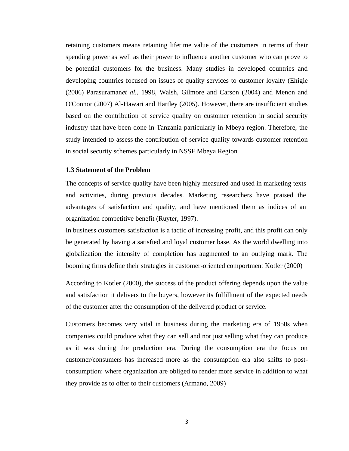retaining customers means retaining lifetime value of the customers in terms of their spending power as well as their power to influence another customer who can prove to be potential customers for the business. Many studies in developed countries and developing countries focused on issues of quality services to customer loyalty (Ehigie (2006) Parasuraman*et al.,* 1998, Walsh, Gilmore and Carson (2004) and Menon and O'Connor (2007) Al-Hawari and Hartley (2005). However, there are insufficient studies based on the contribution of service quality on customer retention in social security industry that have been done in Tanzania particularly in Mbeya region. Therefore, the study intended to assess the contribution of service quality towards customer retention in social security schemes particularly in NSSF Mbeya Region

#### <span id="page-15-0"></span>**1.3 Statement of the Problem**

The concepts of service quality have been highly measured and used in marketing texts and activities, during previous decades. Marketing researchers have praised the advantages of satisfaction and quality, and have mentioned them as indices of an organization competitive benefit (Ruyter, 1997).

In business customers satisfaction is a tactic of increasing profit, and this profit can only be generated by having a satisfied and loyal customer base. As the world dwelling into globalization the intensity of completion has augmented to an outlying mark. The booming firms define their strategies in customer-oriented comportment Kotler (2000)

According to Kotler (2000), the success of the product offering depends upon the value and satisfaction it delivers to the buyers, however its fulfillment of the expected needs of the customer after the consumption of the delivered product or service.

Customers becomes very vital in business during the marketing era of 1950s when companies could produce what they can sell and not just selling what they can produce as it was during the production era. During the consumption era the focus on customer/consumers has increased more as the consumption era also shifts to postconsumption: where organization are obliged to render more service in addition to what they provide as to offer to their customers (Armano, 2009)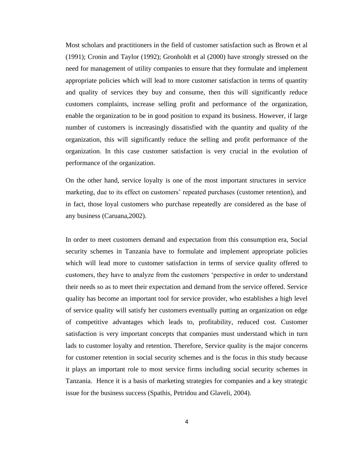Most scholars and practitioners in the field of customer satisfaction such as Brown et al (1991); Cronin and Taylor (1992); Gronholdt et al (2000) have strongly stressed on the need for management of utility companies to ensure that they formulate and implement appropriate policies which will lead to more customer satisfaction in terms of quantity and quality of services they buy and consume, then this will significantly reduce customers complaints, increase selling profit and performance of the organization, enable the organization to be in good position to expand its business. However, if large number of customers is increasingly dissatisfied with the quantity and quality of the organization, this will significantly reduce the selling and profit performance of the organization. In this case customer satisfaction is very crucial in the evolution of performance of the organization.

On the other hand, service loyalty is one of the most important structures in service marketing, due to its effect on customers' repeated purchases (customer retention), and in fact, those loyal customers who purchase repeatedly are considered as the base of any business (Caruana,2002).

In order to meet customers demand and expectation from this consumption era, Social security schemes in Tanzania have to formulate and implement appropriate policies which will lead more to customer satisfaction in terms of service quality offered to customers, they have to analyze from the customers 'perspective in order to understand their needs so as to meet their expectation and demand from the service offered. Service quality has become an important tool for service provider, who establishes a high level of service quality will satisfy her customers eventually putting an organization on edge of competitive advantages which leads to, profitability, reduced cost. Customer satisfaction is very important concepts that companies must understand which in turn lads to customer loyalty and retention. Therefore, Service quality is the major concerns for customer retention in social security schemes and is the focus in this study because it plays an important role to most service firms including social security schemes in Tanzania. Hence it is a basis of marketing strategies for companies and a key strategic issue for the business success (Spathis, Petridou and Glaveli, 2004).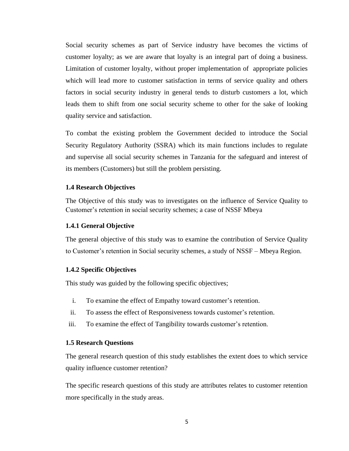Social security schemes as part of Service industry have becomes the victims of customer loyalty; as we are aware that loyalty is an integral part of doing a business. Limitation of customer loyalty, without proper implementation of appropriate policies which will lead more to customer satisfaction in terms of service quality and others factors in social security industry in general tends to disturb customers a lot, which leads them to shift from one social security scheme to other for the sake of looking quality service and satisfaction.

To combat the existing problem the Government decided to introduce the Social Security Regulatory Authority (SSRA) which its main functions includes to regulate and supervise all social security schemes in Tanzania for the safeguard and interest of its members (Customers) but still the problem persisting.

# <span id="page-17-0"></span>**1.4 Research Objectives**

The Objective of this study was to investigates on the influence of Service Quality to Customer's retention in social security schemes; a case of NSSF Mbeya

## <span id="page-17-1"></span>**1.4.1 General Objective**

The general objective of this study was to examine the contribution of Service Quality to Customer's retention in Social security schemes, a study of NSSF – Mbeya Region.

### <span id="page-17-2"></span>**1.4.2 Specific Objectives**

This study was guided by the following specific objectives;

- i. To examine the effect of Empathy toward customer's retention.
- ii. To assess the effect of Responsiveness towards customer's retention.
- iii. To examine the effect of Tangibility towards customer's retention.

#### <span id="page-17-3"></span>**1.5 Research Questions**

The general research question of this study establishes the extent does to which service quality influence customer retention?

The specific research questions of this study are attributes relates to customer retention more specifically in the study areas.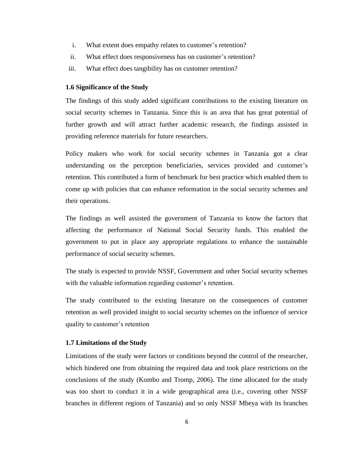- i. What extent does empathy relates to customer's retention?
- ii. What effect does responsiveness has on customer's retention?
- iii. What effect does tangibility has on customer retention?

# <span id="page-18-0"></span>**1.6 Significance of the Study**

The findings of this study added significant contributions to the existing literature on social security schemes in Tanzania. Since this is an area that has great potential of further growth and will attract further academic research, the findings assisted in providing reference materials for future researchers.

Policy makers who work for social security schemes in Tanzania got a clear understanding on the perception beneficiaries, services provided and customer's retention. This contributed a form of benchmark for best practice which enabled them to come up with policies that can enhance reformation in the social security schemes and their operations.

The findings as well assisted the government of Tanzania to know the factors that affecting the performance of National Social Security funds. This enabled the government to put in place any appropriate regulations to enhance the sustainable performance of social security schemes.

The study is expected to provide NSSF, Government and other Social security schemes with the valuable information regarding customer's retention.

The study contributed to the existing literature on the consequences of customer retention as well provided insight to social security schemes on the influence of service quality to customer's retention

# <span id="page-18-1"></span>**1.7 Limitations of the Study**

Limitations of the study were factors or conditions beyond the control of the researcher, which hindered one from obtaining the required data and took place restrictions on the conclusions of the study (Kombo and Tromp, 2006). The time allocated for the study was too short to conduct it in a wide geographical area (i.e., covering other NSSF branches in different regions of Tanzania) and so only NSSF Mbeya with its branches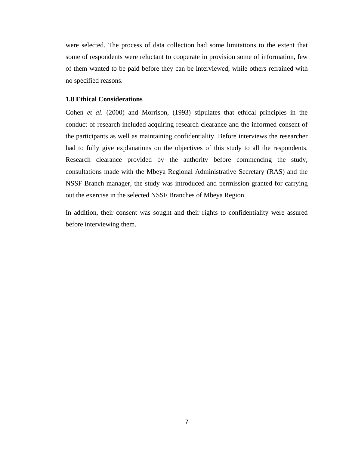were selected. The process of data collection had some limitations to the extent that some of respondents were reluctant to cooperate in provision some of information, few of them wanted to be paid before they can be interviewed, while others refrained with no specified reasons.

# <span id="page-19-0"></span>**1.8 Ethical Considerations**

Cohen *et al*. (2000) and Morrison, (1993) stipulates that ethical principles in the conduct of research included acquiring research clearance and the informed consent of the participants as well as maintaining confidentiality. Before interviews the researcher had to fully give explanations on the objectives of this study to all the respondents. Research clearance provided by the authority before commencing the study, consultations made with the Mbeya Regional Administrative Secretary (RAS) and the NSSF Branch manager, the study was introduced and permission granted for carrying out the exercise in the selected NSSF Branches of Mbeya Region.

In addition, their consent was sought and their rights to confidentiality were assured before interviewing them.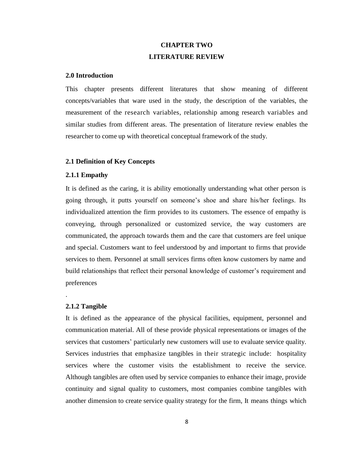# **CHAPTER TWO LITERATURE REVIEW**

## <span id="page-20-2"></span><span id="page-20-1"></span><span id="page-20-0"></span>**2.0 Introduction**

This chapter presents different literatures that show meaning of different concepts/variables that ware used in the study, the description of the variables, the measurement of the research variables, relationship among research variables and similar studies from different areas. The presentation of literature review enables the researcher to come up with theoretical conceptual framework of the study.

### <span id="page-20-3"></span>**2.1 Definition of Key Concepts**

# <span id="page-20-4"></span>**2.1.1 Empathy**

It is defined as the caring, it is ability emotionally understanding what other person is going through, it putts yourself on someone's shoe and share his/her feelings. Its individualized attention the firm provides to its customers. The essence of empathy is conveying, through personalized or customized service, the way customers are communicated, the approach towards them and the care that customers are feel unique and special. Customers want to feel understood by and important to firms that provide services to them. Personnel at small services firms often know customers by name and build relationships that reflect their personal knowledge of customer's requirement and preferences

# <span id="page-20-5"></span>**2.1.2 Tangible**

.

It is defined as the appearance of the physical facilities, equipment, personnel and communication material. All of these provide physical representations or images of the services that customers' particularly new customers will use to evaluate service quality. Services industries that emphasize tangibles in their strategic include: hospitality services where the customer visits the establishment to receive the service. Although tangibles are often used by service companies to enhance their image, provide continuity and signal quality to customers, most companies combine tangibles with another dimension to create service quality strategy for the firm, It means things which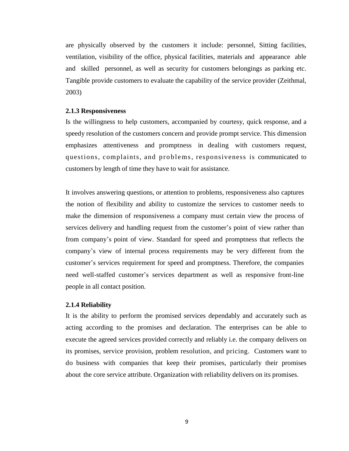are physically observed by the customers it include: personnel, Sitting facilities, ventilation, visibility of the office, physical facilities, materials and appearance able and skilled personnel, as well as security for customers belongings as parking etc. Tangible provide customers to evaluate the capability of the service provider (Zeithmal, 2003)

# <span id="page-21-0"></span>**2.1.3 Responsiveness**

Is the willingness to help customers, accompanied by courtesy, quick response, and a speedy resolution of the customers concern and provide prompt service. This dimension emphasizes attentiveness and promptness in dealing with customers request, questions, complaints, and problems, responsiveness is communicated to customers by length of time they have to wait for assistance.

It involves answering questions, or attention to problems, responsiveness also captures the notion of flexibility and ability to customize the services to customer needs to make the dimension of responsiveness a company must certain view the process of services delivery and handling request from the customer's point of view rather than from company's point of view. Standard for speed and promptness that reflects the company's view of internal process requirements may be very different from the customer's services requirement for speed and promptness. Therefore, the companies need well-staffed customer's services department as well as responsive front-line people in all contact position.

### <span id="page-21-1"></span>**2.1.4 Reliability**

It is the ability to perform the promised services dependably and accurately such as acting according to the promises and declaration. The enterprises can be able to execute the agreed services provided correctly and reliably i.e. the company delivers on its promises, service provision, problem resolution, and pricing. Customers want to do business with companies that keep their promises, particularly their promises about the core service attribute. Organization with reliability delivers on its promises.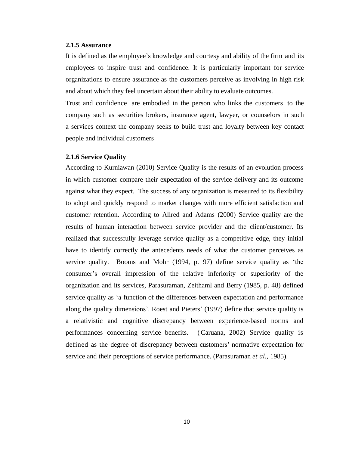## <span id="page-22-0"></span>**2.1.5 Assurance**

It is defined as the employee's knowledge and courtesy and ability of the firm and its employees to inspire trust and confidence. It is particularly important for service organizations to ensure assurance as the customers perceive as involving in high risk and about which they feel uncertain about their ability to evaluate outcomes.

Trust and confidence are embodied in the person who links the customers to the company such as securities brokers, insurance agent, lawyer, or counselors in such a services context the company seeks to build trust and loyalty between key contact people and individual customers

### <span id="page-22-1"></span>**2.1.6 Service Quality**

According to Kurniawan (2010) Service Quality is the results of an evolution process in which customer compare their expectation of the service delivery and its outcome against what they expect. The success of any organization is measured to its flexibility to adopt and quickly respond to market changes with more efficient satisfaction and customer retention. According to Allred and Adams (2000) Service quality are the results of human interaction between service provider and the client/customer. Its realized that successfully leverage service quality as a competitive edge, they initial have to identify correctly the antecedents needs of what the customer perceives as service quality. Booms and Mohr (1994, p. 97) define service quality as 'the consumer's overall impression of the relative inferiority or superiority of the organization and its services, Parasuraman, Zeithaml and Berry (1985, p. 48) defined service quality as 'a function of the differences between expectation and performance along the quality dimensions'. Roest and Pieters' (1997) define that service quality is a relativistic and cognitive discrepancy between experience-based norms and performances concerning service benefits. (Caruana, 2002) Service quality is defined as the degree of discrepancy between customers' normative expectation for service and their perceptions of service performance. (Parasuraman *et al*., 1985).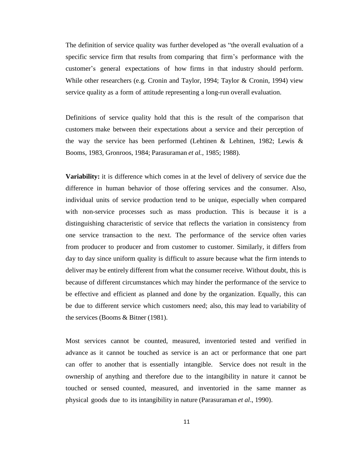The definition of service quality was further developed as "the overall evaluation of a specific service firm that results from comparing that firm's performance with the customer's general expectations of how firms in that industry should perform. While other researchers (e.g. Cronin and Taylor, 1994; Taylor & Cronin, 1994) view service quality as a form of attitude representing a long-run overall evaluation.

Definitions of service quality hold that this is the result of the comparison that customers make between their expectations about a service and their perception of the way the service has been performed (Lehtinen & Lehtinen, 1982; Lewis & Booms, 1983, Gronroos, 1984; Parasuraman *et al.,* 1985; 1988).

**Variability:** it is difference which comes in at the level of delivery of service due the difference in human behavior of those offering services and the consumer. Also, individual units of service production tend to be unique, especially when compared with non-service processes such as mass production. This is because it is a distinguishing characteristic of service that reflects the variation in consistency from one service transaction to the next. The performance of the service often varies from producer to producer and from customer to customer. Similarly, it differs from day to day since uniform quality is difficult to assure because what the firm intends to deliver may be entirely different from what the consumer receive. Without doubt, this is because of different circumstances which may hinder the performance of the service to be effective and efficient as planned and done by the organization. Equally, this can be due to different service which customers need; also, this may lead to variability of the services (Booms & Bitner (1981).

Most services cannot be counted, measured, inventoried tested and verified in advance as it cannot be touched as service is an act or performance that one part can offer to another that is essentially intangible. Service does not result in the ownership of anything and therefore due to the intangibility in nature it cannot be touched or sensed counted, measured, and inventoried in the same manner as physical goods due to its intangibility in nature (Parasuraman *et al*., 1990).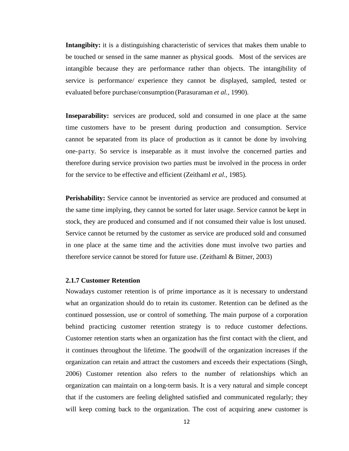**Intangibity:** it is a distinguishing characteristic of services that makes them unable to be touched or sensed in the same manner as physical goods. Most of the services are intangible because they are performance rather than objects. The intangibility of service is performance/ experience they cannot be displayed, sampled, tested or evaluated before purchase/consumption (Parasuraman *et al.,* 1990).

**Inseparability:** services are produced, sold and consumed in one place at the same time customers have to be present during production and consumption. Service cannot be separated from its place of production as it cannot be done by involving one-party. So service is inseparable as it must involve the concerned parties and therefore during service provision two parties must be involved in the process in order for the service to be effective and efficient (Zeithaml *et al.,* 1985).

**Perishability:** Service cannot be inventoried as service are produced and consumed at the same time implying, they cannot be sorted for later usage. Service cannot be kept in stock, they are produced and consumed and if not consumed their value is lost unused. Service cannot be returned by the customer as service are produced sold and consumed in one place at the same time and the activities done must involve two parties and therefore service cannot be stored for future use. (Zeithaml & Bitner, 2003)

# <span id="page-24-0"></span>**2.1.7 Customer Retention**

Nowadays customer retention is of prime importance as it is necessary to understand what an organization should do to retain its customer. Retention can be defined as the continued possession, use or control of something. The main purpose of a corporation behind practicing customer retention strategy is to reduce customer defections. Customer retention starts when an organization has the first contact with the client, and it continues throughout the lifetime. The goodwill of the organization increases if the organization can retain and attract the customers and exceeds their expectations (Singh, 2006) Customer retention also refers to the number of relationships which an organization can maintain on a long-term basis. It is a very natural and simple concept that if the customers are feeling delighted satisfied and communicated regularly; they will keep coming back to the organization. The cost of acquiring anew customer is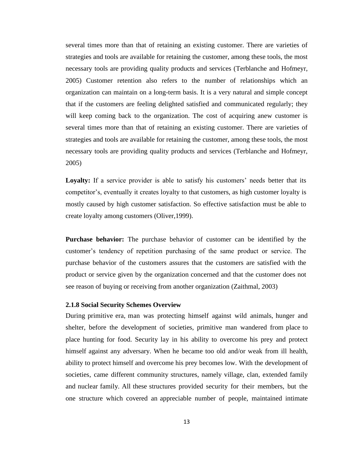several times more than that of retaining an existing customer. There are varieties of strategies and tools are available for retaining the customer, among these tools, the most necessary tools are providing quality products and services (Terblanche and Hofmeyr, 2005) Customer retention also refers to the number of relationships which an organization can maintain on a long-term basis. It is a very natural and simple concept that if the customers are feeling delighted satisfied and communicated regularly; they will keep coming back to the organization. The cost of acquiring anew customer is several times more than that of retaining an existing customer. There are varieties of strategies and tools are available for retaining the customer, among these tools, the most necessary tools are providing quality products and services (Terblanche and Hofmeyr, 2005)

**Loyalty:** If a service provider is able to satisfy his customers' needs better that its competitor's, eventually it creates loyalty to that customers, as high customer loyalty is mostly caused by high customer satisfaction. So effective satisfaction must be able to create loyalty among customers (Oliver,1999).

**Purchase behavior:** The purchase behavior of customer can be identified by the customer's tendency of repetition purchasing of the same product or service. The purchase behavior of the customers assures that the customers are satisfied with the product or service given by the organization concerned and that the customer does not see reason of buying or receiving from another organization (Zaithmal, 2003)

# <span id="page-25-0"></span>**2.1.8 Social Security Schemes Overview**

During primitive era, man was protecting himself against wild animals, hunger and shelter, before the development of societies, primitive man wandered from place to place hunting for food. Security lay in his ability to overcome his prey and protect himself against any adversary. When he became too old and/or weak from ill health, ability to protect himself and overcome his prey becomes low. With the development of societies, came different community structures, namely village, clan, extended family and nuclear family. All these structures provided security for their members, but the one structure which covered an appreciable number of people, maintained intimate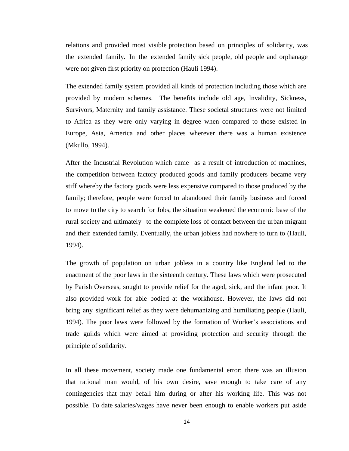relations and provided most visible protection based on principles of solidarity, was the extended family. In the extended family sick people, old people and orphanage were not given first priority on protection (Hauli 1994).

The extended family system provided all kinds of protection including those which are provided by modern schemes. The benefits include old age, Invalidity, Sickness, Survivors, Maternity and family assistance. These societal structures were not limited to Africa as they were only varying in degree when compared to those existed in Europe, Asia, America and other places wherever there was a human existence (Mkullo, 1994).

After the Industrial Revolution which came as a result of introduction of machines, the competition between factory produced goods and family producers became very stiff whereby the factory goods were less expensive compared to those produced by the family; therefore, people were forced to abandoned their family business and forced to move to the city to search for Jobs, the situation weakened the economic base of the rural society and ultimately to the complete loss of contact between the urban migrant and their extended family. Eventually, the urban jobless had nowhere to turn to (Hauli, 1994).

The growth of population on urban jobless in a country like England led to the enactment of the poor laws in the sixteenth century. These laws which were prosecuted by Parish Overseas, sought to provide relief for the aged, sick, and the infant poor. It also provided work for able bodied at the workhouse. However, the laws did not bring any significant relief as they were dehumanizing and humiliating people (Hauli, 1994). The poor laws were followed by the formation of Worker's associations and trade guilds which were aimed at providing protection and security through the principle of solidarity.

In all these movement, society made one fundamental error; there was an illusion that rational man would, of his own desire, save enough to take care of any contingencies that may befall him during or after his working life. This was not possible. To date salaries/wages have never been enough to enable workers put aside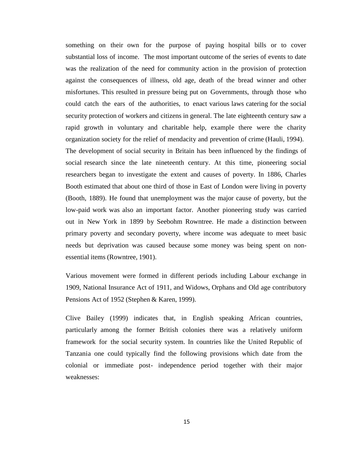something on their own for the purpose of paying hospital bills or to cover substantial loss of income. The most important outcome of the series of events to date was the realization of the need for community action in the provision of protection against the consequences of illness, old age, death of the bread winner and other misfortunes. This resulted in pressure being put on Governments, through those who could catch the ears of the authorities, to enact various laws catering for the social security protection of workers and citizens in general. The late eighteenth century saw a rapid growth in voluntary and charitable help, example there were the charity organization society for the relief of mendacity and prevention of crime (Hauli, 1994). The development of social security in Britain has been influenced by the findings of social research since the late nineteenth century. At this time, pioneering social researchers began to investigate the extent and causes of poverty. In 1886, Charles Booth estimated that about one third of those in East of London were living in poverty (Booth, 1889). He found that unemployment was the major cause of poverty, but the low-paid work was also an important factor. Another pioneering study was carried out in New York in 1899 by Seebohm Rowntree. He made a distinction between primary poverty and secondary poverty, where income was adequate to meet basic needs but deprivation was caused because some money was being spent on nonessential items (Rowntree, 1901).

Various movement were formed in different periods including Labour exchange in 1909, National Insurance Act of 1911, and Widows, Orphans and Old age contributory Pensions Act of 1952 (Stephen & Karen, 1999).

Clive Bailey (1999) indicates that, in English speaking African countries, particularly among the former British colonies there was a relatively uniform framework for the social security system. In countries like the United Republic of Tanzania one could typically find the following provisions which date from the colonial or immediate post- independence period together with their major weaknesses: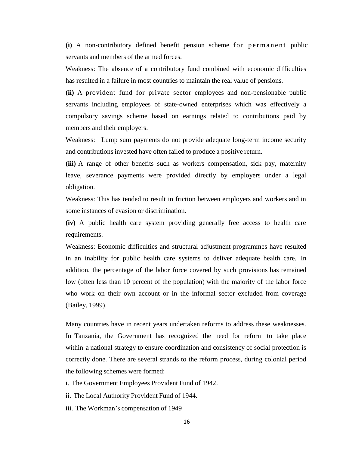(i) A non-contributory defined benefit pension scheme for permanent public servants and members of the armed forces.

Weakness: The absence of a contributory fund combined with economic difficulties has resulted in a failure in most countries to maintain the real value of pensions.

**(ii)** A provident fund for private sector employees and non-pensionable public servants including employees of state-owned enterprises which was effectively a compulsory savings scheme based on earnings related to contributions paid by members and their employers.

Weakness: Lump sum payments do not provide adequate long-term income security and contributions invested have often failed to produce a positive return.

**(iii)** A range of other benefits such as workers compensation, sick pay, maternity leave, severance payments were provided directly by employers under a legal obligation.

Weakness: This has tended to result in friction between employers and workers and in some instances of evasion or discrimination.

**(iv)** A public health care system providing generally free access to health care requirements.

Weakness: Economic difficulties and structural adjustment programmes have resulted in an inability for public health care systems to deliver adequate health care. In addition, the percentage of the labor force covered by such provisions has remained low (often less than 10 percent of the population) with the majority of the labor force who work on their own account or in the informal sector excluded from coverage (Bailey, 1999).

Many countries have in recent years undertaken reforms to address these weaknesses. In Tanzania, the Government has recognized the need for reform to take place within a national strategy to ensure coordination and consistency of social protection is correctly done. There are several strands to the reform process, during colonial period the following schemes were formed:

- i. The Government Employees Provident Fund of 1942.
- ii. The Local Authority Provident Fund of 1944.
- iii. The Workman's compensation of 1949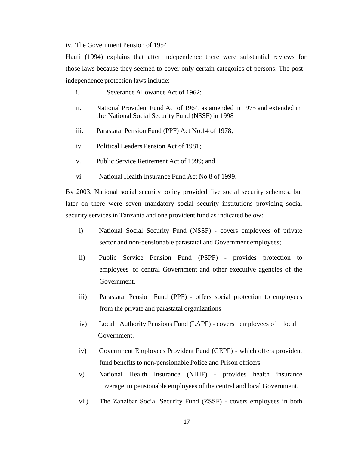iv. The Government Pension of 1954.

Hauli (1994) explains that after independence there were substantial reviews for those laws because they seemed to cover only certain categories of persons. The post– independence protection laws include: -

- i. Severance Allowance Act of 1962;
- ii. National Provident Fund Act of 1964, as amended in 1975 and extended in the National Social Security Fund (NSSF) in 1998
- iii. Parastatal Pension Fund (PPF) Act No.14 of 1978;
- iv. Political Leaders Pension Act of 1981;
- v. Public Service Retirement Act of 1999; and
- vi. National Health Insurance Fund Act No.8 of 1999.

By 2003, National social security policy provided five social security schemes, but later on there were seven mandatory social security institutions providing social security services in Tanzania and one provident fund as indicated below:

- i) National Social Security Fund (NSSF) covers employees of private sector and non-pensionable parastatal and Government employees;
- ii) Public Service Pension Fund (PSPF) provides protection to employees of central Government and other executive agencies of the Government.
- iii) Parastatal Pension Fund (PPF) offers social protection to employees from the private and parastatal organizations
- iv)Local Authority Pensions Fund (LAPF) covers employees of local Government.
- iv) Government Employees Provident Fund (GEPF) which offers provident fund benefits to non-pensionable Police and Prison officers.
- v) National Health Insurance (NHIF) provides health insurance coverage to pensionable employees of the central and local Government.
- vii)The Zanzibar Social Security Fund (ZSSF) covers employees in both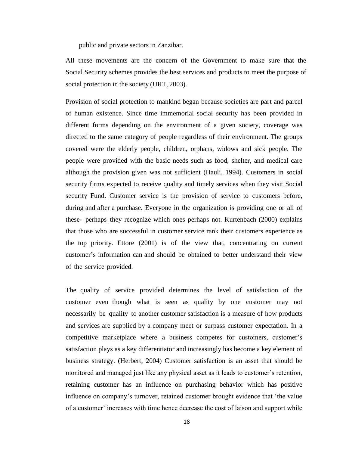public and private sectors in Zanzibar.

All these movements are the concern of the Government to make sure that the Social Security schemes provides the best services and products to meet the purpose of social protection in the society (URT, 2003).

Provision of social protection to mankind began because societies are part and parcel of human existence. Since time immemorial social security has been provided in different forms depending on the environment of a given society, coverage was directed to the same category of people regardless of their environment. The groups covered were the elderly people, children, orphans, widows and sick people. The people were provided with the basic needs such as food, shelter, and medical care although the provision given was not sufficient (Hauli, 1994). Customers in social security firms expected to receive quality and timely services when they visit Social security Fund. Customer service is the provision of service to customers before, during and after a purchase. Everyone in the organization is providing one or all of these- perhaps they recognize which ones perhaps not. Kurtenbach (2000) explains that those who are successful in customer service rank their customers experience as the top priority. Ettore (2001) is of the view that, concentrating on current customer's information can and should be obtained to better understand their view of the service provided.

The quality of service provided determines the level of satisfaction of the customer even though what is seen as quality by one customer may not necessarily be quality to another customer satisfaction is a measure of how products and services are supplied by a company meet or surpass customer expectation. In a competitive marketplace where a business competes for customers, customer's satisfaction plays as a key differentiator and increasingly has become a key element of business strategy. (Herbert, 2004) Customer satisfaction is an asset that should be monitored and managed just like any physical asset as it leads to customer's retention, retaining customer has an influence on purchasing behavior which has positive influence on company's turnover, retained customer brought evidence that 'the value of a customer' increases with time hence decrease the cost of laison and support while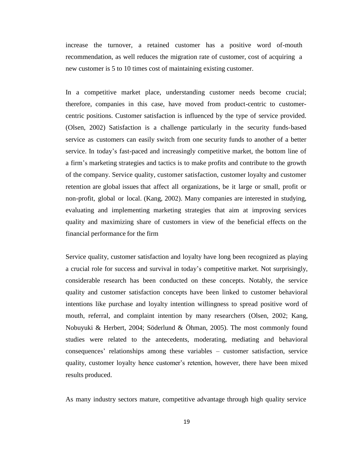increase the turnover, a retained customer has a positive word of-mouth recommendation, as well reduces the migration rate of customer, cost of acquiring a new customer is 5 to 10 times cost of maintaining existing customer.

In a competitive market place, understanding customer needs become crucial; therefore, companies in this case, have moved from product-centric to customercentric positions. Customer satisfaction is influenced by the type of service provided. (Olsen, 2002) Satisfaction is a challenge particularly in the security funds-based service as customers can easily switch from one security funds to another of a better service. In today's fast-paced and increasingly competitive market, the bottom line of a firm's marketing strategies and tactics is to make profits and contribute to the growth of the company. Service quality, customer satisfaction, customer loyalty and customer retention are global issues that affect all organizations, be it large or small, profit or non-profit, global or local. (Kang, 2002). Many companies are interested in studying, evaluating and implementing marketing strategies that aim at improving services quality and maximizing share of customers in view of the beneficial effects on the financial performance for the firm

Service quality, customer satisfaction and loyalty have long been recognized as playing a crucial role for success and survival in today's competitive market. Not surprisingly, considerable research has been conducted on these concepts. Notably, the service quality and customer satisfaction concepts have been linked to customer behavioral intentions like purchase and loyalty intention willingness to spread positive word of mouth, referral, and complaint intention by many researchers (Olsen, 2002; Kang, Nobuyuki & Herbert, 2004; Söderlund & Öhman, 2005). The most commonly found studies were related to the antecedents, moderating, mediating and behavioral consequences' relationships among these variables – customer satisfaction, service quality, customer loyalty hence customer's retention, however, there have been mixed results produced.

As many industry sectors mature, competitive advantage through high quality service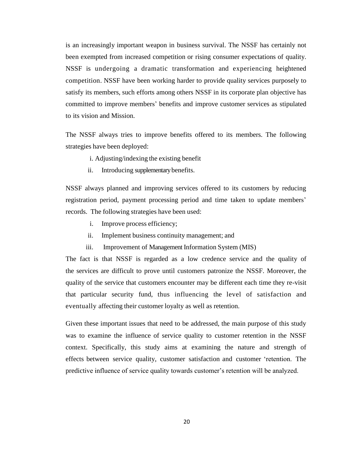is an increasingly important weapon in business survival. The NSSF has certainly not been exempted from increased competition or rising consumer expectations of quality. NSSF is undergoing a dramatic transformation and experiencing heightened competition. NSSF have been working harder to provide quality services purposely to satisfy its members, such efforts among others NSSF in its corporate plan objective has committed to improve members' benefits and improve customer services as stipulated to its vision and Mission.

The NSSF always tries to improve benefits offered to its members. The following strategies have been deployed:

- i. Adjusting/indexing the existing benefit
- ii. Introducing supplementary benefits.

NSSF always planned and improving services offered to its customers by reducing registration period, payment processing period and time taken to update members' records. The following strategies have been used:

- i. Improve process efficiency;
- ii. Implement business continuity management; and
- iii. Improvement of Management Information System (MIS)

The fact is that NSSF is regarded as a low credence service and the quality of the services are difficult to prove until customers patronize the NSSF. Moreover, the quality of the service that customers encounter may be different each time they re-visit that particular security fund, thus influencing the level of satisfaction and eventually affecting their customer loyalty as well as retention.

Given these important issues that need to be addressed, the main purpose of this study was to examine the influence of service quality to customer retention in the NSSF context. Specifically, this study aims at examining the nature and strength of effects between service quality, customer satisfaction and customer 'retention. The predictive influence of service quality towards customer's retention will be analyzed.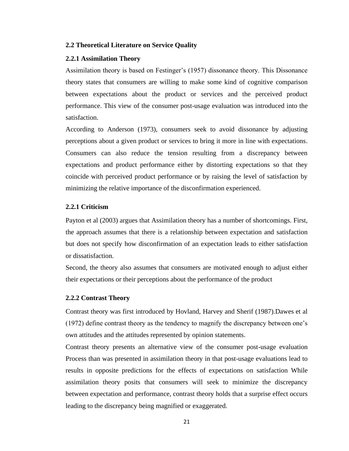### <span id="page-33-0"></span>**2.2 Theoretical Literature on Service Quality**

#### <span id="page-33-1"></span>**2.2.1 Assimilation Theory**

Assimilation theory is based on Festinger's (1957) dissonance theory. This Dissonance theory states that consumers are willing to make some kind of cognitive comparison between expectations about the product or services and the perceived product performance. This view of the consumer post-usage evaluation was introduced into the satisfaction.

According to Anderson (1973), consumers seek to avoid dissonance by adjusting perceptions about a given product or services to bring it more in line with expectations. Consumers can also reduce the tension resulting from a discrepancy between expectations and product performance either by distorting expectations so that they coincide with perceived product performance or by raising the level of satisfaction by minimizing the relative importance of the disconfirmation experienced.

## <span id="page-33-2"></span>**2.2.1 Criticism**

Payton et al (2003) argues that Assimilation theory has a number of shortcomings. First, the approach assumes that there is a relationship between expectation and satisfaction but does not specify how disconfirmation of an expectation leads to either satisfaction or dissatisfaction.

Second, the theory also assumes that consumers are motivated enough to adjust either their expectations or their perceptions about the performance of the product

#### <span id="page-33-3"></span>**2.2.2 Contrast Theory**

Contrast theory was first introduced by Hovland, Harvey and Sherif (1987).Dawes et al (1972) define contrast theory as the tendency to magnify the discrepancy between one's own attitudes and the attitudes represented by opinion statements.

Contrast theory presents an alternative view of the consumer post-usage evaluation Process than was presented in assimilation theory in that post-usage evaluations lead to results in opposite predictions for the effects of expectations on satisfaction While assimilation theory posits that consumers will seek to minimize the discrepancy between expectation and performance, contrast theory holds that a surprise effect occurs leading to the discrepancy being magnified or exaggerated.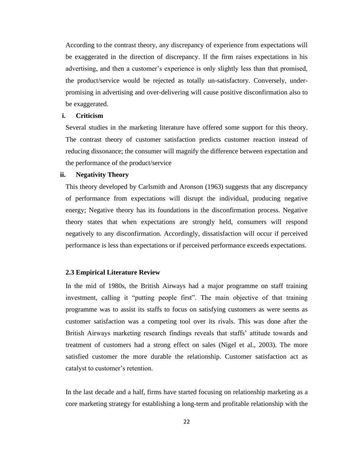According to the contrast theory, any discrepancy of experience from expectations will be exaggerated in the direction of discrepancy. If the firm raises expectations in his advertising, and then a customer's experience is only slightly less than that promised, the product/service would be rejected as totally un-satisfactory. Conversely, underpromising in advertising and over-delivering will cause positive disconfirmation also to be exaggerated.

## **i. Criticism**

Several studies in the marketing literature have offered some support for this theory. The contrast theory of customer satisfaction predicts customer reaction instead of reducing dissonance; the consumer will magnify the difference between expectation and the performance of the product/service

#### **ii. Negativity Theory**

This theory developed by Carlsmith and Aronson (1963) suggests that any discrepancy of performance from expectations will disrupt the individual, producing negative energy; Negative theory has its foundations in the disconfirmation process. Negative theory states that when expectations are strongly held, consumers will respond negatively to any disconfirmation. Accordingly, dissatisfaction will occur if perceived performance is less than expectations or if perceived performance exceeds expectations.

# <span id="page-34-0"></span>**2.3 Empirical Literature Review**

In the mid of 1980s, the British Airways had a major programme on staff training investment, calling it "putting people first". The main objective of that training programme was to assist its staffs to focus on satisfying customers as were seems as customer satisfaction was a competing tool over its rivals. This was done after the British Airways marketing research findings reveals that staffs' attitude towards and treatment of customers had a strong effect on sales (Nigel et al., 2003). The more satisfied customer the more durable the relationship. Customer satisfaction act as catalyst to customer's retention.

In the last decade and a half, firms have started focusing on relationship marketing as a core marketing strategy for establishing a long-term and profitable relationship with the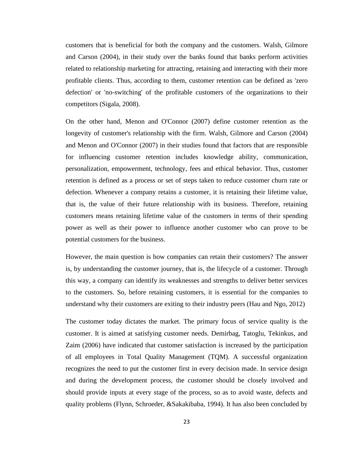customers that is beneficial for both the company and the customers. Walsh, Gilmore and Carson (2004), in their study over the banks found that banks perform activities related to relationship marketing for attracting, retaining and interacting with their more profitable clients. Thus, according to them, customer retention can be defined as 'zero defection' or 'no-switching' of the profitable customers of the organizations to their competitors (Sigala, 2008).

On the other hand, Menon and O'Connor (2007) define customer retention as the longevity of customer's relationship with the firm. Walsh, Gilmore and Carson (2004) and Menon and O'Connor (2007) in their studies found that factors that are responsible for influencing customer retention includes knowledge ability, communication, personalization, empowerment, technology, fees and ethical behavior. Thus, customer retention is defined as a process or set of steps taken to reduce customer churn rate or defection. Whenever a company retains a customer, it is retaining their lifetime value, that is, the value of their future relationship with its business. Therefore, retaining customers means retaining lifetime value of the customers in terms of their spending power as well as their power to influence another customer who can prove to be potential customers for the business.

However, the main question is how companies can retain their customers? The answer is, by understanding the customer journey, that is, the lifecycle of a customer. Through this way, a company can identify its weaknesses and strengths to deliver better services to the customers. So, before retaining customers, it is essential for the companies to understand why their customers are exiting to their industry peers (Hau and Ngo, 2012)

The customer today dictates the market. The primary focus of service quality is the customer. It is aimed at satisfying customer needs. Demirbag, Tatoglu, Tekinkus, and Zaim (2006) have indicated that customer satisfaction is increased by the participation of all employees in Total Quality Management (TQM). A successful organization recognizes the need to put the customer first in every decision made. In service design and during the development process, the customer should be closely involved and should provide inputs at every stage of the process, so as to avoid waste, defects and quality problems (Flynn, Schroeder, &Sakakibaba, 1994). It has also been concluded by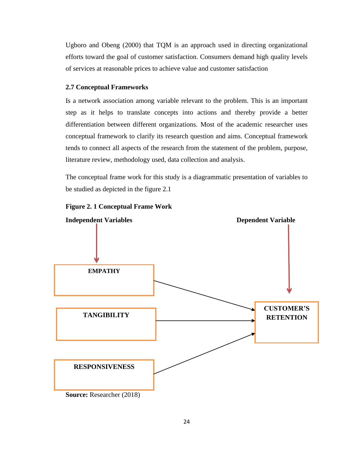Ugboro and Obeng (2000) that TQM is an approach used in directing organizational efforts toward the goal of customer satisfaction. Consumers demand high quality levels of services at reasonable prices to achieve value and customer satisfaction

### **2.7 Conceptual Frameworks**

Is a network association among variable relevant to the problem. This is an important step as it helps to translate concepts into actions and thereby provide a better differentiation between different organizations. Most of the academic researcher uses conceptual framework to clarify its research question and aims. Conceptual framework tends to connect all aspects of the research from the statement of the problem, purpose, literature review, methodology used, data collection and analysis.

The conceptual frame work for this study is a diagrammatic presentation of variables to be studied as depicted in the figure 2.1





**Source:** Researcher (2018)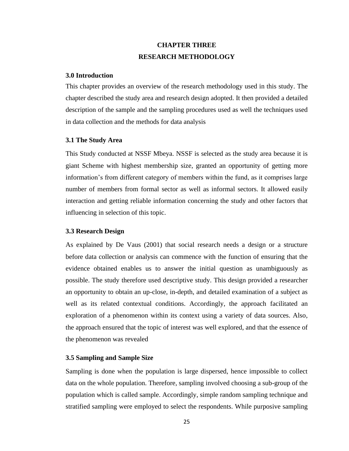# **CHAPTER THREE RESEARCH METHODOLOGY**

#### **3.0 Introduction**

This chapter provides an overview of the research methodology used in this study. The chapter described the study area and research design adopted. It then provided a detailed description of the sample and the sampling procedures used as well the techniques used in data collection and the methods for data analysis

#### **3.1 The Study Area**

This Study conducted at NSSF Mbeya. NSSF is selected as the study area because it is giant Scheme with highest membership size, granted an opportunity of getting more information's from different category of members within the fund, as it comprises large number of members from formal sector as well as informal sectors. It allowed easily interaction and getting reliable information concerning the study and other factors that influencing in selection of this topic.

#### **3.3 Research Design**

As explained by De Vaus (2001) that social research needs a design or a structure before data collection or analysis can commence with the function of ensuring that the evidence obtained enables us to answer the initial question as unambiguously as possible. The study therefore used descriptive study. This design provided a researcher an opportunity to obtain an up-close, in-depth, and detailed examination of a subject as well as its related contextual conditions. Accordingly, the approach facilitated an exploration of a phenomenon within its context using a variety of data sources. Also, the approach ensured that the topic of interest was well explored, and that the essence of the phenomenon was revealed

#### **3.5 Sampling and Sample Size**

Sampling is done when the population is large dispersed, hence impossible to collect data on the whole population. Therefore, sampling involved choosing a sub-group of the population which is called sample. Accordingly, simple random sampling technique and stratified sampling were employed to select the respondents. While purposive sampling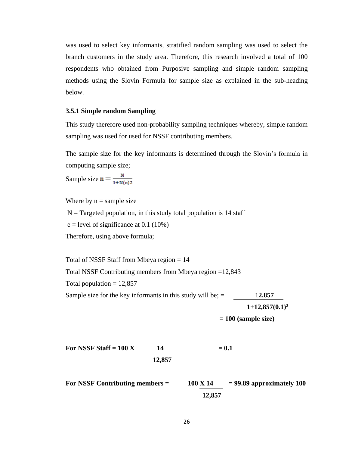was used to select key informants, stratified random sampling was used to select the branch customers in the study area. Therefore, this research involved a total of 100 respondents who obtained from Purposive sampling and simple random sampling methods using the Slovin Formula for sample size as explained in the sub-heading below.

#### **3.5.1 Simple random Sampling**

This study therefore used non-probability sampling techniques whereby, simple random sampling was used for used for NSSF contributing members.

The sample size for the key informants is determined through the Slovin's formula in computing sample size;

Sample size  $n = \frac{N}{1 + N(e)2}$ 

Where by  $n =$  sample size

 $N =$ Targeted population, in this study total population is 14 staff

 $e = level of significance at 0.1 (10%)$ 

Therefore, using above formula;

Total of NSSF Staff from Mbeya region = 14 Total NSSF Contributing members from Mbeya region =12,843 Total population  $= 12,857$ Sample size for the key informants in this study will be; = 1**2,857 1+12,857(0.1)<sup>2</sup>**

 **= 100 (sample size)**

For NSSF Staff =  $100 \text{ X}$  14 =  $0.1$  **12,857** 

For NSSF Contributing members  $=$   $100 \text{ X } 14$   $=$  99.89 approximately 100  **12,857**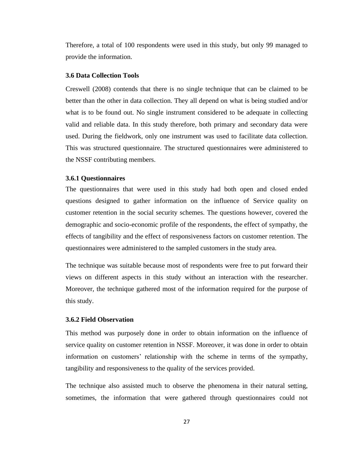Therefore, a total of 100 respondents were used in this study, but only 99 managed to provide the information.

#### **3.6 Data Collection Tools**

Creswell (2008) contends that there is no single technique that can be claimed to be better than the other in data collection. They all depend on what is being studied and/or what is to be found out. No single instrument considered to be adequate in collecting valid and reliable data. In this study therefore, both primary and secondary data were used. During the fieldwork, only one instrument was used to facilitate data collection. This was structured questionnaire. The structured questionnaires were administered to the NSSF contributing members.

#### **3.6.1 Questionnaires**

The questionnaires that were used in this study had both open and closed ended questions designed to gather information on the influence of Service quality on customer retention in the social security schemes. The questions however, covered the demographic and socio-economic profile of the respondents, the effect of sympathy, the effects of tangibility and the effect of responsiveness factors on customer retention. The questionnaires were administered to the sampled customers in the study area.

The technique was suitable because most of respondents were free to put forward their views on different aspects in this study without an interaction with the researcher. Moreover, the technique gathered most of the information required for the purpose of this study.

#### **3.6.2 Field Observation**

This method was purposely done in order to obtain information on the influence of service quality on customer retention in NSSF. Moreover, it was done in order to obtain information on customers' relationship with the scheme in terms of the sympathy, tangibility and responsiveness to the quality of the services provided.

The technique also assisted much to observe the phenomena in their natural setting, sometimes, the information that were gathered through questionnaires could not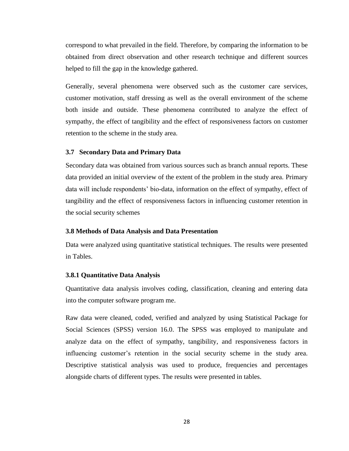correspond to what prevailed in the field. Therefore, by comparing the information to be obtained from direct observation and other research technique and different sources helped to fill the gap in the knowledge gathered.

Generally, several phenomena were observed such as the customer care services, customer motivation, staff dressing as well as the overall environment of the scheme both inside and outside. These phenomena contributed to analyze the effect of sympathy, the effect of tangibility and the effect of responsiveness factors on customer retention to the scheme in the study area.

#### **3.7 Secondary Data and Primary Data**

Secondary data was obtained from various sources such as branch annual reports. These data provided an initial overview of the extent of the problem in the study area. Primary data will include respondents' bio-data, information on the effect of sympathy, effect of tangibility and the effect of responsiveness factors in influencing customer retention in the social security schemes

#### **3.8 Methods of Data Analysis and Data Presentation**

Data were analyzed using quantitative statistical techniques. The results were presented in Tables.

#### **3.8.1 Quantitative Data Analysis**

Quantitative data analysis involves coding, classification, cleaning and entering data into the computer software program me.

Raw data were cleaned, coded, verified and analyzed by using Statistical Package for Social Sciences (SPSS) version 16.0. The SPSS was employed to manipulate and analyze data on the effect of sympathy, tangibility, and responsiveness factors in influencing customer's retention in the social security scheme in the study area. Descriptive statistical analysis was used to produce, frequencies and percentages alongside charts of different types. The results were presented in tables.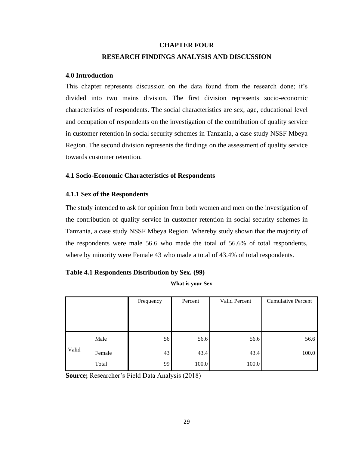# **CHAPTER FOUR RESEARCH FINDINGS ANALYSIS AND DISCUSSION**

### **4.0 Introduction**

This chapter represents discussion on the data found from the research done; it's divided into two mains division. The first division represents socio-economic characteristics of respondents. The social characteristics are sex, age, educational level and occupation of respondents on the investigation of the contribution of quality service in customer retention in social security schemes in Tanzania, a case study NSSF Mbeya Region. The second division represents the findings on the assessment of quality service towards customer retention.

### **4.1 Socio-Economic Characteristics of Respondents**

### **4.1.1 Sex of the Respondents**

The study intended to ask for opinion from both women and men on the investigation of the contribution of quality service in customer retention in social security schemes in Tanzania, a case study NSSF Mbeya Region. Whereby study shown that the majority of the respondents were male 56.6 who made the total of 56.6% of total respondents, where by minority were Female 43 who made a total of 43.4% of total respondents.

### **Table 4.1 Respondents Distribution by Sex. (99)**

**What is your Sex**

|       |        | Frequency | Percent | Valid Percent | <b>Cumulative Percent</b> |
|-------|--------|-----------|---------|---------------|---------------------------|
|       |        |           |         |               |                           |
|       |        |           |         |               |                           |
|       | Male   | 56        | 56.6    | 56.6          | 56.6                      |
| Valid | Female | 43        | 43.4    | 43.4          | 100.0                     |
|       | Total  | 99        | 100.0   | 100.0         |                           |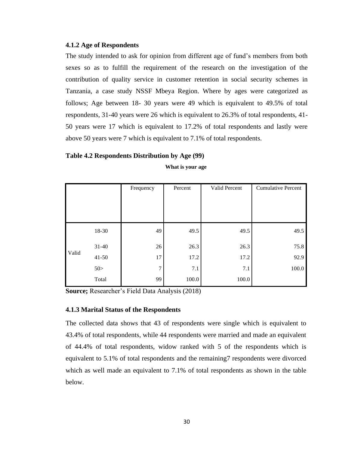#### **4.1.2 Age of Respondents**

The study intended to ask for opinion from different age of fund's members from both sexes so as to fulfill the requirement of the research on the investigation of the contribution of quality service in customer retention in social security schemes in Tanzania, a case study NSSF Mbeya Region. Where by ages were categorized as follows; Age between 18- 30 years were 49 which is equivalent to 49.5% of total respondents, 31-40 years were 26 which is equivalent to 26.3% of total respondents, 41- 50 years were 17 which is equivalent to 17.2% of total respondents and lastly were above 50 years were 7 which is equivalent to 7.1% of total respondents.

#### **Table 4.2 Respondents Distribution by Age (99)**

|       |           | Frequency | Percent | Valid Percent | <b>Cumulative Percent</b> |
|-------|-----------|-----------|---------|---------------|---------------------------|
|       |           |           |         |               |                           |
|       |           |           |         |               |                           |
|       |           |           |         |               |                           |
|       | 18-30     | 49        | 49.5    | 49.5          | 49.5                      |
|       | $31 - 40$ | 26        | 26.3    | 26.3          | 75.8                      |
| Valid | $41 - 50$ | 17        | 17.2    | 17.2          | 92.9                      |
|       | 50 >      | 7         | 7.1     | 7.1           | 100.0                     |
|       | Total     | 99        | 100.0   | 100.0         |                           |

**What is your age**

**Source;** Researcher's Field Data Analysis (2018)

#### **4.1.3 Marital Status of the Respondents**

The collected data shows that 43 of respondents were single which is equivalent to 43.4% of total respondents, while 44 respondents were married and made an equivalent of 44.4% of total respondents, widow ranked with 5 of the respondents which is equivalent to 5.1% of total respondents and the remaining7 respondents were divorced which as well made an equivalent to 7.1% of total respondents as shown in the table below.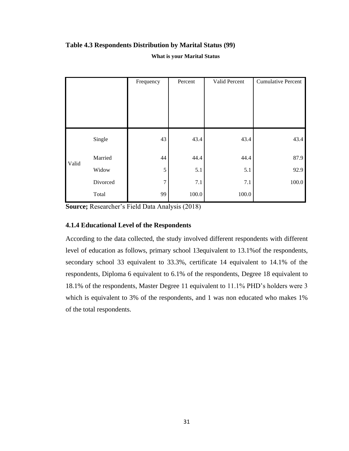# **Table 4.3 Respondents Distribution by Marital Status (99)**

#### **What is your Marital Status**

|       |          | Frequency      | Percent | Valid Percent | <b>Cumulative Percent</b> |
|-------|----------|----------------|---------|---------------|---------------------------|
|       |          |                |         |               |                           |
|       |          |                |         |               |                           |
|       |          |                |         |               |                           |
|       |          |                |         |               |                           |
|       | Single   | 43             | 43.4    | 43.4          | 43.4                      |
| Valid | Married  | 44             | 44.4    | 44.4          | 87.9                      |
|       | Widow    | 5              | 5.1     | 5.1           | 92.9                      |
|       | Divorced | $\overline{7}$ | 7.1     | 7.1           | $100.0\,$                 |
|       | Total    | 99             | 100.0   | 100.0         |                           |

**Source;** Researcher's Field Data Analysis (2018)

## **4.1.4 Educational Level of the Respondents**

According to the data collected, the study involved different respondents with different level of education as follows, primary school 13equivalent to 13.1%of the respondents, secondary school 33 equivalent to 33.3%, certificate 14 equivalent to 14.1% of the respondents, Diploma 6 equivalent to 6.1% of the respondents, Degree 18 equivalent to 18.1% of the respondents, Master Degree 11 equivalent to 11.1% PHD's holders were 3 which is equivalent to 3% of the respondents, and 1 was non educated who makes 1% of the total respondents.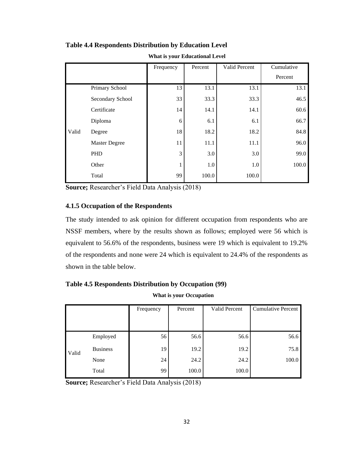|       |                      | Frequency | Percent | Valid Percent | Cumulative |
|-------|----------------------|-----------|---------|---------------|------------|
|       |                      |           |         |               | Percent    |
|       | Primary School       | 13        | 13.1    | 13.1          | 13.1       |
|       | Secondary School     | 33        | 33.3    | 33.3          | 46.5       |
|       | Certificate          | 14        | 14.1    | 14.1          | 60.6       |
|       | Diploma              | 6         | 6.1     | 6.1           | 66.7       |
| Valid | Degree               | 18        | 18.2    | 18.2          | 84.8       |
|       | <b>Master Degree</b> | 11        | 11.1    | 11.1          | 96.0       |
|       | PHD                  | 3         | 3.0     | 3.0           | 99.0       |
|       | Other                | 1         | 1.0     | 1.0           | 100.0      |
|       | Total                | 99        | 100.0   | 100.0         |            |

**Table 4.4 Respondents Distribution by Education Level**

**What is your Educational Level**

**Source;** Researcher's Field Data Analysis (2018)

### **4.1.5 Occupation of the Respondents**

The study intended to ask opinion for different occupation from respondents who are NSSF members, where by the results shown as follows; employed were 56 which is equivalent to 56.6% of the respondents, business were 19 which is equivalent to 19.2% of the respondents and none were 24 which is equivalent to 24.4% of the respondents as shown in the table below.

### **Table 4.5 Respondents Distribution by Occupation (99)**

#### **What is your Occupation**

|       |                 | Frequency | Percent | Valid Percent | <b>Cumulative Percent</b> |
|-------|-----------------|-----------|---------|---------------|---------------------------|
|       |                 |           |         |               |                           |
|       | Employed        | 56        | 56.6    | 56.6          | 56.6                      |
| Valid | <b>Business</b> | 19        | 19.2    | 19.2          | 75.8                      |
|       | None            | 24        | 24.2    | 24.2          | 100.0                     |
|       | Total           | 99        | 100.0   | 100.0         |                           |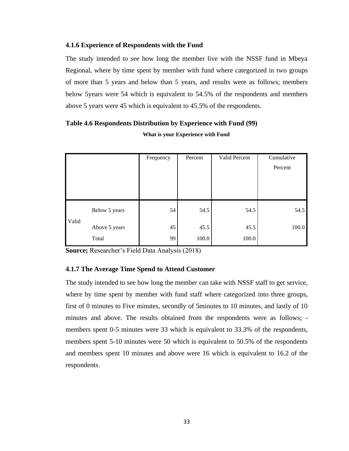#### **4.1.6 Experience of Respondents with the Fund**

The study intended to see how long the member live with the NSSF fund in Mbeya Regional, where by time spent by member with fund where categorized in two groups of more than 5 years and below than 5 years, and results were as follows; members below 5years were 54 which is equivalent to 54.5% of the respondents and members above 5 years were 45 which is equivalent to 45.5% of the respondents.

|       |               | Frequency | Percent | Valid Percent | Cumulative<br>Percent |
|-------|---------------|-----------|---------|---------------|-----------------------|
|       |               |           |         |               |                       |
|       | Below 5 years | 54        | 54.5    | 54.5          | 54.5                  |
| Valid | Above 5 years | 45        | 45.5    | 45.5          | 100.0                 |
|       | Total         | 99        | 100.0   | 100.0         |                       |

# **Table 4.6 Respondents Distribution by Experience with Fund (99) What is your Experience with Fund**

**Source;** Researcher's Field Data Analysis (2018)

### **4.1.7 The Average Time Spend to Attend Customer**

The study intended to see how long the member can take with NSSF staff to get service, where by time spent by member with fund staff where categorized into three groups, first of 0 minutes to Five minutes, secondly of 5minutes to 10 minutes, and lastly of 10 minutes and above. The results obtained from the respondents were as follows; members spent 0-5 minutes were 33 which is equivalent to 33.3% of the respondents, members spent 5-10 minutes were 50 which is equivalent to 50.5% of the respondents and members spent 10 minutes and above were 16 which is equivalent to 16.2 of the respondents.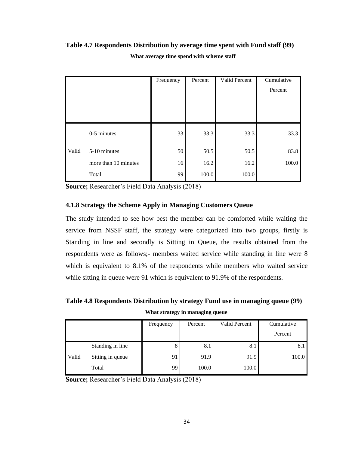### **Table 4.7 Respondents Distribution by average time spent with Fund staff (99)**

|       |                      | Frequency | Percent | Valid Percent | Cumulative |
|-------|----------------------|-----------|---------|---------------|------------|
|       |                      |           |         |               | Percent    |
|       |                      |           |         |               |            |
|       |                      |           |         |               |            |
|       |                      |           |         |               |            |
|       | 0-5 minutes          | 33        | 33.3    | 33.3          | 33.3       |
| Valid | 5-10 minutes         | 50        | 50.5    | 50.5          | 83.8       |
|       | more than 10 minutes | 16        | 16.2    | 16.2          | 100.0      |
|       | Total                | 99        | 100.0   | 100.0         |            |

**What average time spend with scheme staff**

**Source;** Researcher's Field Data Analysis (2018)

### **4.1.8 Strategy the Scheme Apply in Managing Customers Queue**

The study intended to see how best the member can be comforted while waiting the service from NSSF staff, the strategy were categorized into two groups, firstly is Standing in line and secondly is Sitting in Queue, the results obtained from the respondents were as follows;- members waited service while standing in line were 8 which is equivalent to 8.1% of the respondents while members who waited service while sitting in queue were 91 which is equivalent to 91.9% of the respondents.

**Table 4.8 Respondents Distribution by strategy Fund use in managing queue (99) What strategy in managing queue**

|       |                  | Frequency | Percent | Valid Percent | Cumulative |
|-------|------------------|-----------|---------|---------------|------------|
|       |                  |           |         |               | Percent    |
|       | Standing in line | 8         | 8.1     | 8.1           | 8.1        |
| Valid | Sitting in queue | 91        | 91.9    | 91.9          | 100.0      |
|       | Total            | 99        | 100.0   | 100.0         |            |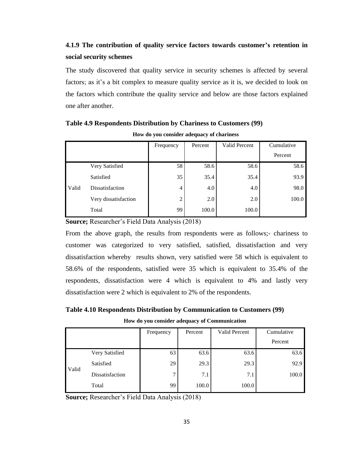# **4.1.9 The contribution of quality service factors towards customer's retention in social security schemes**

The study discovered that quality service in security schemes is affected by several factors; as it's a bit complex to measure quality service as it is, we decided to look on the factors which contribute the quality service and below are those factors explained one after another.

|       |                      | Frequency | Percent | Valid Percent | Cumulative |
|-------|----------------------|-----------|---------|---------------|------------|
|       |                      |           |         |               | Percent    |
|       | Very Satisfied       | 58        | 58.6    | 58.6          | 58.6       |
|       | Satisfied            | 35        | 35.4    | 35.4          | 93.9       |
| Valid | Dissatisfaction      | 4         | 4.0     | 4.0           | 98.0       |
|       | Very dissatisfaction | 2         | 2.0     | 2.0           | 100.0      |
|       | Total                | 99        | 100.0   | 100.0         |            |

# **Table 4.9 Respondents Distribution by Chariness to Customers (99)**

**How do you consider adequacy of chariness**

**Source;** Researcher's Field Data Analysis (2018)

From the above graph, the results from respondents were as follows;- chariness to customer was categorized to very satisfied, satisfied, dissatisfaction and very dissatisfaction whereby results shown, very satisfied were 58 which is equivalent to 58.6% of the respondents, satisfied were 35 which is equivalent to 35.4% of the respondents, dissatisfaction were 4 which is equivalent to 4% and lastly very dissatisfaction were 2 which is equivalent to 2% of the respondents.

**Table 4.10 Respondents Distribution by Communication to Customers (99) How do you consider adequacy of Communication**

|       |                 | Frequency | Percent | Valid Percent | Cumulative |
|-------|-----------------|-----------|---------|---------------|------------|
|       |                 |           |         |               | Percent    |
|       | Very Satisfied  | 63        | 63.6    | 63.6          | 63.6       |
| Valid | Satisfied       | 29        | 29.3    | 29.3          | 92.9       |
|       | Dissatisfaction | 7         | 7.1     | 7.1           | 100.0      |
|       | Total           | 99        | 100.0   | 100.0         |            |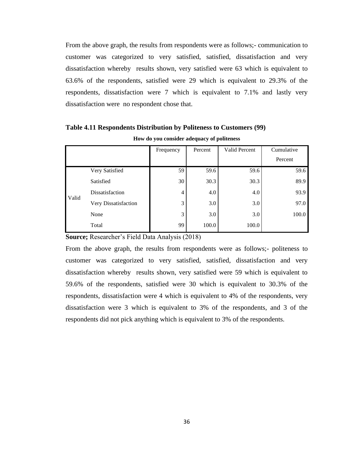From the above graph, the results from respondents were as follows;- communication to customer was categorized to very satisfied, satisfied, dissatisfaction and very dissatisfaction whereby results shown, very satisfied were 63 which is equivalent to 63.6% of the respondents, satisfied were 29 which is equivalent to 29.3% of the respondents, dissatisfaction were 7 which is equivalent to 7.1% and lastly very dissatisfaction were no respondent chose that.

|       |                      | Frequency | Percent | Valid Percent | Cumulative |
|-------|----------------------|-----------|---------|---------------|------------|
|       |                      |           |         |               | Percent    |
|       | Very Satisfied       | 59        | 59.6    | 59.6          | 59.6       |
|       | Satisfied            | 30        | 30.3    | 30.3          | 89.9       |
| Valid | Dissatisfaction      | 4         | 4.0     | 4.0           | 93.9       |
|       | Very Dissatisfaction | 3         | 3.0     | 3.0           | 97.0       |
|       | None                 | 3         | 3.0     | 3.0           | 100.0      |
|       | Total                | 99        | 100.0   | 100.0         |            |

**Table 4.11 Respondents Distribution by Politeness to Customers (99)**

**How do you consider adequacy of politeness**

**Source;** Researcher's Field Data Analysis (2018)

From the above graph, the results from respondents were as follows;- politeness to customer was categorized to very satisfied, satisfied, dissatisfaction and very dissatisfaction whereby results shown, very satisfied were 59 which is equivalent to 59.6% of the respondents, satisfied were 30 which is equivalent to 30.3% of the respondents, dissatisfaction were 4 which is equivalent to 4% of the respondents, very dissatisfaction were 3 which is equivalent to 3% of the respondents, and 3 of the respondents did not pick anything which is equivalent to 3% of the respondents.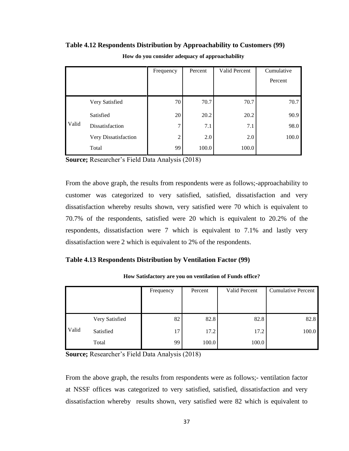|       |                      | Frequency      | Percent | Valid Percent | Cumulative |
|-------|----------------------|----------------|---------|---------------|------------|
|       |                      |                |         |               | Percent    |
|       |                      |                |         |               |            |
|       | Very Satisfied       | 70             | 70.7    | 70.7          | 70.7       |
|       | Satisfied            | 20             | 20.2    | 20.2          | 90.9       |
| Valid | Dissatisfaction      | 7              | 7.1     | 7.1           | 98.0       |
|       | Very Dissatisfaction | $\overline{c}$ | 2.0     | 2.0           | 100.0      |
|       | Total                | 99             | 100.0   | 100.0         |            |

#### **Table 4.12 Respondents Distribution by Approachability to Customers (99)**

**How do you consider adequacy of approachability**

**Source;** Researcher's Field Data Analysis (2018)

From the above graph, the results from respondents were as follows;-approachability to customer was categorized to very satisfied, satisfied, dissatisfaction and very dissatisfaction whereby results shown, very satisfied were 70 which is equivalent to 70.7% of the respondents, satisfied were 20 which is equivalent to 20.2% of the respondents, dissatisfaction were 7 which is equivalent to 7.1% and lastly very dissatisfaction were 2 which is equivalent to 2% of the respondents.

#### **Table 4.13 Respondents Distribution by Ventilation Factor (99)**

|       |                | Frequency | Percent | Valid Percent | <b>Cumulative Percent</b> |
|-------|----------------|-----------|---------|---------------|---------------------------|
|       |                |           |         |               |                           |
|       |                |           |         |               |                           |
|       | Very Satisfied | 82        | 82.8    | 82.8          | 82.8                      |
| Valid | Satisfied      | 17        | 17.2    | 17.2          | 100.0                     |
|       | Total          | 99        | 100.0   | 100.0         |                           |

**How Satisfactory are you on ventilation of Funds office?**

**Source;** Researcher's Field Data Analysis (2018)

From the above graph, the results from respondents were as follows;- ventilation factor at NSSF offices was categorized to very satisfied, satisfied, dissatisfaction and very dissatisfaction whereby results shown, very satisfied were 82 which is equivalent to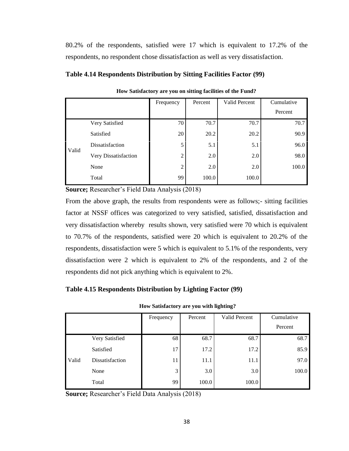80.2% of the respondents, satisfied were 17 which is equivalent to 17.2% of the respondents, no respondent chose dissatisfaction as well as very dissatisfaction.

|       |                      | Frequency | Percent | Valid Percent | Cumulative |
|-------|----------------------|-----------|---------|---------------|------------|
|       |                      |           |         |               | Percent    |
|       | Very Satisfied       | 70        | 70.7    | 70.7          | 70.7       |
|       | Satisfied            | 20        | 20.2    | 20.2          | 90.9       |
| Valid | Dissatisfaction      | 5         | 5.1     | 5.1           | 96.0       |
|       | Very Dissatisfaction | 2         | 2.0     | 2.0           | 98.0       |
|       | None                 | 2         | 2.0     | 2.0           | 100.0      |
|       | Total                | 99        | 100.0   | 100.0         |            |

**How Satisfactory are you on sitting facilities of the Fund?**

**Source;** Researcher's Field Data Analysis (2018)

From the above graph, the results from respondents were as follows;- sitting facilities factor at NSSF offices was categorized to very satisfied, satisfied, dissatisfaction and very dissatisfaction whereby results shown, very satisfied were 70 which is equivalent to 70.7% of the respondents, satisfied were 20 which is equivalent to 20.2% of the respondents, dissatisfaction were 5 which is equivalent to 5.1% of the respondents, very dissatisfaction were 2 which is equivalent to 2% of the respondents, and 2 of the respondents did not pick anything which is equivalent to 2%.

### **Table 4.15 Respondents Distribution by Lighting Factor (99)**

| How Satisfactory are you with lighting? |  |  |  |
|-----------------------------------------|--|--|--|
|-----------------------------------------|--|--|--|

|       |                 | Frequency | Percent | Valid Percent | Cumulative |
|-------|-----------------|-----------|---------|---------------|------------|
|       |                 |           |         |               | Percent    |
|       | Very Satisfied  | 68        | 68.7    | 68.7          | 68.7       |
|       | Satisfied       | 17        | 17.2    | 17.2          | 85.9       |
| Valid | Dissatisfaction | 11        | 11.1    | 11.1          | 97.0       |
|       | None            | 3         | 3.0     | 3.0           | 100.0      |
|       | Total           | 99        | 100.0   | 100.0         |            |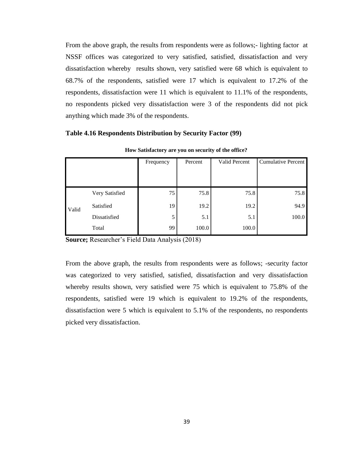From the above graph, the results from respondents were as follows;- lighting factor at NSSF offices was categorized to very satisfied, satisfied, dissatisfaction and very dissatisfaction whereby results shown, very satisfied were 68 which is equivalent to 68.7% of the respondents, satisfied were 17 which is equivalent to 17.2% of the respondents, dissatisfaction were 11 which is equivalent to 11.1% of the respondents, no respondents picked very dissatisfaction were 3 of the respondents did not pick anything which made 3% of the respondents.

#### **Table 4.16 Respondents Distribution by Security Factor (99)**

|       |                | Frequency | Percent | Valid Percent | Cumulative Percent |
|-------|----------------|-----------|---------|---------------|--------------------|
|       |                |           |         |               |                    |
|       |                |           |         |               |                    |
| Valid | Very Satisfied | 75        | 75.8    | 75.8          | 75.8               |
|       | Satisfied      | 19        | 19.2    | 19.2          | 94.9               |
|       | Dissatisfied   |           | 5.1     | 5.1           | 100.0              |
|       | Total          | 99        | 100.0   | 100.0         |                    |

**How Satisfactory are you on security of the office?**

**Source;** Researcher's Field Data Analysis (2018)

From the above graph, the results from respondents were as follows; -security factor was categorized to very satisfied, satisfied, dissatisfaction and very dissatisfaction whereby results shown, very satisfied were 75 which is equivalent to 75.8% of the respondents, satisfied were 19 which is equivalent to 19.2% of the respondents, dissatisfaction were 5 which is equivalent to 5.1% of the respondents, no respondents picked very dissatisfaction.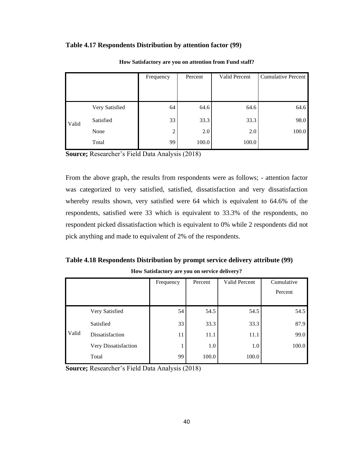#### **Table 4.17 Respondents Distribution by attention factor (99)**

|       |                | Frequency      | Percent | Valid Percent | Cumulative Percent |
|-------|----------------|----------------|---------|---------------|--------------------|
|       |                |                |         |               |                    |
| Valid | Very Satisfied | 64             | 64.6    | 64.6          | 64.6               |
|       | Satisfied      | 33             | 33.3    | 33.3          | 98.0               |
|       | None           | $\overline{2}$ | 2.0     | 2.0           | 100.0              |
|       | Total          | 99             | 100.0   | 100.0         |                    |

**How Satisfactory are you on attention from Fund staff?**

**Source;** Researcher's Field Data Analysis (2018)

From the above graph, the results from respondents were as follows; - attention factor was categorized to very satisfied, satisfied, dissatisfaction and very dissatisfaction whereby results shown, very satisfied were 64 which is equivalent to 64.6% of the respondents, satisfied were 33 which is equivalent to 33.3% of the respondents, no respondent picked dissatisfaction which is equivalent to 0% while 2 respondents did not pick anything and made to equivalent of 2% of the respondents.

**Table 4.18 Respondents Distribution by prompt service delivery attribute (99) How Satisfactory are you on service delivery?**

|       |                      | Frequency | Percent | Valid Percent | Cumulative |
|-------|----------------------|-----------|---------|---------------|------------|
|       |                      |           |         |               | Percent    |
|       |                      |           |         |               |            |
|       | Very Satisfied       | 54        | 54.5    | 54.5          | 54.5       |
| Valid | Satisfied            | 33        | 33.3    | 33.3          | 87.9       |
|       | Dissatisfaction      | 11        | 11.1    | 11.1          | 99.0       |
|       | Very Dissatisfaction | 1         | 1.0     | 1.0           | 100.0      |
|       | Total                | 99        | 100.0   | 100.0         |            |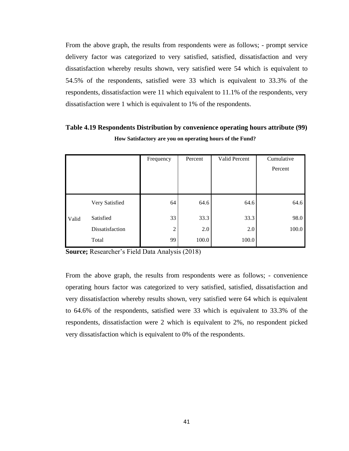From the above graph, the results from respondents were as follows; - prompt service delivery factor was categorized to very satisfied, satisfied, dissatisfaction and very dissatisfaction whereby results shown, very satisfied were 54 which is equivalent to 54.5% of the respondents, satisfied were 33 which is equivalent to 33.3% of the respondents, dissatisfaction were 11 which equivalent to 11.1% of the respondents, very dissatisfaction were 1 which is equivalent to 1% of the respondents.

|       |                 | Frequency      | Percent | Valid Percent | Cumulative |
|-------|-----------------|----------------|---------|---------------|------------|
|       |                 |                |         |               | Percent    |
|       |                 |                |         |               |            |
|       |                 |                |         |               |            |
|       | Very Satisfied  | 64             | 64.6    | 64.6          | 64.6       |
| Valid | Satisfied       | 33             | 33.3    | 33.3          | 98.0       |
|       | Dissatisfaction | $\overline{c}$ | 2.0     | 2.0           | 100.0      |
|       | Total           | 99             | 100.0   | 100.0         |            |

**Table 4.19 Respondents Distribution by convenience operating hours attribute (99) How Satisfactory are you on operating hours of the Fund?**

**Source;** Researcher's Field Data Analysis (2018)

From the above graph, the results from respondents were as follows; - convenience operating hours factor was categorized to very satisfied, satisfied, dissatisfaction and very dissatisfaction whereby results shown, very satisfied were 64 which is equivalent to 64.6% of the respondents, satisfied were 33 which is equivalent to 33.3% of the respondents, dissatisfaction were 2 which is equivalent to 2%, no respondent picked very dissatisfaction which is equivalent to 0% of the respondents.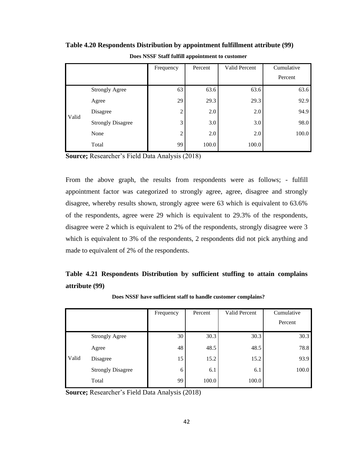|       |                          | Frequency      | Percent | Valid Percent | Cumulative |
|-------|--------------------------|----------------|---------|---------------|------------|
|       |                          |                |         |               | Percent    |
|       | <b>Strongly Agree</b>    | 63             | 63.6    | 63.6          | 63.6       |
|       | Agree                    | 29             | 29.3    | 29.3          | 92.9       |
| Valid | Disagree                 | $\overline{2}$ | 2.0     | 2.0           | 94.9       |
|       | <b>Strongly Disagree</b> | 3              | 3.0     | 3.0           | 98.0       |
|       | None                     | $\overline{2}$ | 2.0     | 2.0           | 100.0      |
|       | Total                    | 99             | 100.0   | 100.0         |            |

**Table 4.20 Respondents Distribution by appointment fulfillment attribute (99)**

**Does NSSF Staff fulfill appointment to customer**

**Source;** Researcher's Field Data Analysis (2018)

From the above graph, the results from respondents were as follows; - fulfill appointment factor was categorized to strongly agree, agree, disagree and strongly disagree, whereby results shown, strongly agree were 63 which is equivalent to 63.6% of the respondents, agree were 29 which is equivalent to 29.3% of the respondents, disagree were 2 which is equivalent to 2% of the respondents, strongly disagree were 3 which is equivalent to 3% of the respondents, 2 respondents did not pick anything and made to equivalent of 2% of the respondents.

# **Table 4.21 Respondents Distribution by sufficient stuffing to attain complains attribute (99)**

|       |                          | Frequency | Percent | Valid Percent | Cumulative |
|-------|--------------------------|-----------|---------|---------------|------------|
|       |                          |           |         |               | Percent    |
|       | <b>Strongly Agree</b>    | 30        | 30.3    | 30.3          | 30.3       |
|       | Agree                    | 48        | 48.5    | 48.5          | 78.8       |
| Valid | Disagree                 | 15        | 15.2    | 15.2          | 93.9       |
|       | <b>Strongly Disagree</b> | 6         | 6.1     | 6.1           | 100.0      |
|       | Total                    | 99        | 100.0   | 100.0         |            |

**Does NSSF have sufficient staff to handle customer complains?**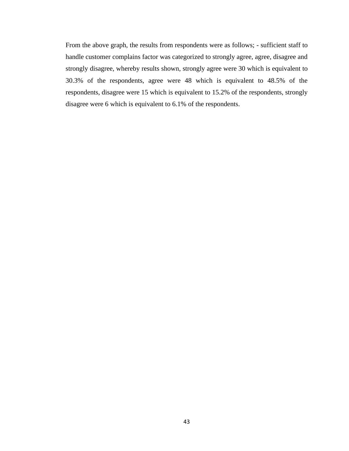From the above graph, the results from respondents were as follows; - sufficient staff to handle customer complains factor was categorized to strongly agree, agree, disagree and strongly disagree, whereby results shown, strongly agree were 30 which is equivalent to 30.3% of the respondents, agree were 48 which is equivalent to 48.5% of the respondents, disagree were 15 which is equivalent to 15.2% of the respondents, strongly disagree were 6 which is equivalent to 6.1% of the respondents.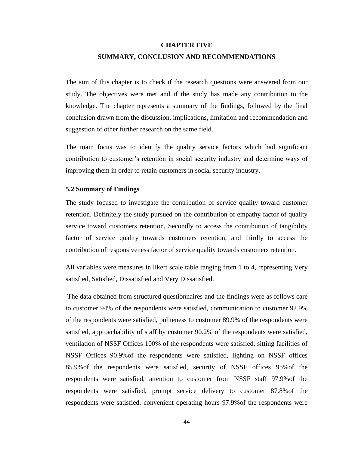#### **CHAPTER FIVE**

#### **SUMMARY, CONCLUSION AND RECOMMENDATIONS**

The aim of this chapter is to check if the research questions were answered from our study. The objectives were met and if the study has made any contribution to the knowledge. The chapter represents a summary of the findings, followed by the final conclusion drawn from the discussion, implications, limitation and recommendation and suggestion of other further research on the same field.

The main focus was to identify the quality service factors which had significant contribution to customer's retention in social security industry and determine ways of improving them in order to retain customers in social security industry.

#### **5.2 Summary of Findings**

The study focused to investigate the contribution of service quality toward customer retention. Definitely the study pursued on the contribution of empathy factor of quality service toward customers retention, Secondly to access the contribution of tangibility factor of service quality towards customers retention, and thirdly to access the contribution of responsiveness factor of service quality towards customers retention.

All variables were measures in likert scale table ranging from 1 to 4, representing Very satisfied, Satisfied, Dissatisfied and Very Dissatisfied.

The data obtained from structured questionnaires and the findings were as follows care to customer 94% of the respondents were satisfied, communication to customer 92.9% of the respondents were satisfied, politeness to customer 89.9% of the respondents were satisfied, approachability of staff by customer 90.2% of the respondents were satisfied, ventilation of NSSF Offices 100% of the respondents were satisfied, sitting facilities of NSSF Offices 90.9%of the respondents were satisfied, lighting on NSSF offices 85.9%of the respondents were satisfied, security of NSSF offices 95%of the respondents were satisfied, attention to customer from NSSF staff 97.9%of the respondents were satisfied, prompt service delivery to customer 87.8%of the respondents were satisfied, convenient operating hours 97.9%of the respondents were

44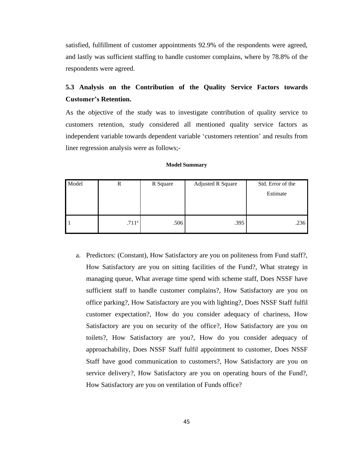satisfied, fulfillment of customer appointments 92.9% of the respondents were agreed, and lastly was sufficient staffing to handle customer complains, where by 78.8% of the respondents were agreed.

# **5.3 Analysis on the Contribution of the Quality Service Factors towards Customer's Retention.**

As the objective of the study was to investigate contribution of quality service to customers retention, study considered all mentioned quality service factors as independent variable towards dependent variable 'customers retention' and results from liner regression analysis were as follows;-

| Model | R                 | R Square | <b>Adjusted R Square</b> | Std. Error of the<br>Estimate |
|-------|-------------------|----------|--------------------------|-------------------------------|
|       |                   |          |                          |                               |
|       | .711 <sup>a</sup> | .506     | .395                     | .236                          |

#### **Model Summary**

a. Predictors: (Constant), How Satisfactory are you on politeness from Fund staff?, How Satisfactory are you on sitting facilities of the Fund?, What strategy in managing queue, What average time spend with scheme staff, Does NSSF have sufficient staff to handle customer complains?, How Satisfactory are you on office parking?, How Satisfactory are you with lighting?, Does NSSF Staff fulfil customer expectation?, How do you consider adequacy of chariness, How Satisfactory are you on security of the office?, How Satisfactory are you on toilets?, How Satisfactory are you?, How do you consider adequacy of approachability, Does NSSF Staff fulfil appointment to customer, Does NSSF Staff have good communication to customers?, How Satisfactory are you on service delivery?, How Satisfactory are you on operating hours of the Fund?, How Satisfactory are you on ventilation of Funds office?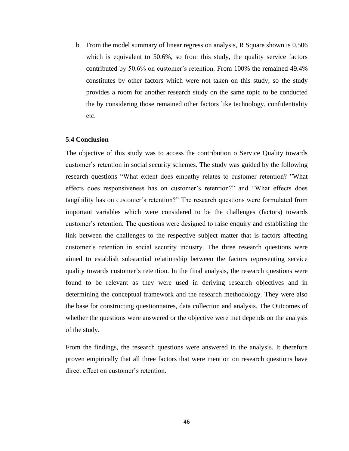b. From the model summary of linear regression analysis, R Square shown is 0.506 which is equivalent to 50.6%, so from this study, the quality service factors contributed by 50.6% on customer's retention. From 100% the remained 49.4% constitutes by other factors which were not taken on this study, so the study provides a room for another research study on the same topic to be conducted the by considering those remained other factors like technology, confidentiality etc.

#### **5.4 Conclusion**

The objective of this study was to access the contribution o Service Quality towards customer's retention in social security schemes. The study was guided by the following research questions "What extent does empathy relates to customer retention? "What effects does responsiveness has on customer's retention?" and "What effects does tangibility has on customer's retention?" The research questions were formulated from important variables which were considered to be the challenges (factors) towards customer's retention. The questions were designed to raise enquiry and establishing the link between the challenges to the respective subject matter that is factors affecting customer's retention in social security industry. The three research questions were aimed to establish substantial relationship between the factors representing service quality towards customer's retention. In the final analysis, the research questions were found to be relevant as they were used in deriving research objectives and in determining the conceptual framework and the research methodology. They were also the base for constructing questionnaires, data collection and analysis. The Outcomes of whether the questions were answered or the objective were met depends on the analysis of the study.

From the findings, the research questions were answered in the analysis. It therefore proven empirically that all three factors that were mention on research questions have direct effect on customer's retention.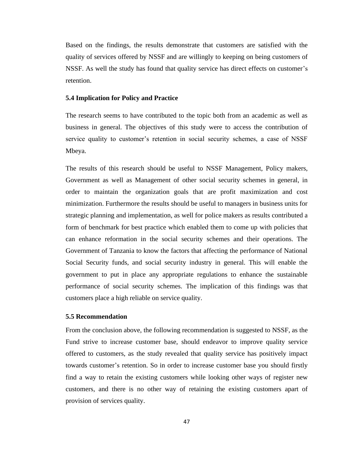Based on the findings, the results demonstrate that customers are satisfied with the quality of services offered by NSSF and are willingly to keeping on being customers of NSSF. As well the study has found that quality service has direct effects on customer's retention.

#### **5.4 Implication for Policy and Practice**

The research seems to have contributed to the topic both from an academic as well as business in general. The objectives of this study were to access the contribution of service quality to customer's retention in social security schemes, a case of NSSF Mbeya.

The results of this research should be useful to NSSF Management, Policy makers, Government as well as Management of other social security schemes in general, in order to maintain the organization goals that are profit maximization and cost minimization. Furthermore the results should be useful to managers in business units for strategic planning and implementation, as well for police makers as results contributed a form of benchmark for best practice which enabled them to come up with policies that can enhance reformation in the social security schemes and their operations. The Government of Tanzania to know the factors that affecting the performance of National Social Security funds, and social security industry in general. This will enable the government to put in place any appropriate regulations to enhance the sustainable performance of social security schemes. The implication of this findings was that customers place a high reliable on service quality.

#### **5.5 Recommendation**

From the conclusion above, the following recommendation is suggested to NSSF, as the Fund strive to increase customer base, should endeavor to improve quality service offered to customers, as the study revealed that quality service has positively impact towards customer's retention. So in order to increase customer base you should firstly find a way to retain the existing customers while looking other ways of register new customers, and there is no other way of retaining the existing customers apart of provision of services quality.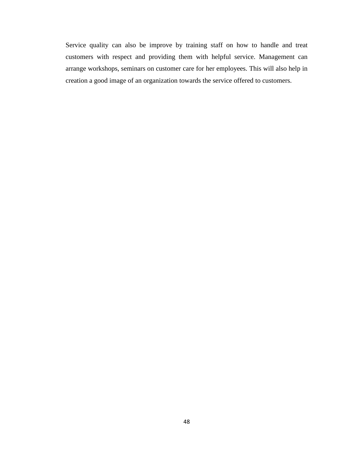Service quality can also be improve by training staff on how to handle and treat customers with respect and providing them with helpful service. Management can arrange workshops, seminars on customer care for her employees. This will also help in creation a good image of an organization towards the service offered to customers.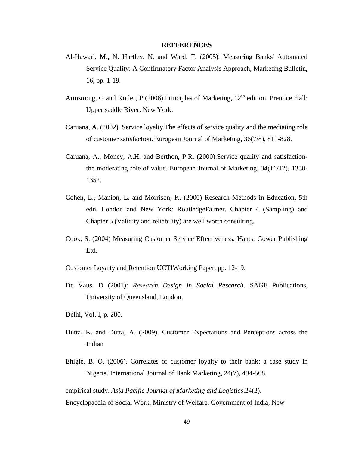#### **REFFERENCES**

- Al-Hawari, M., N. Hartley, N. and Ward, T. (2005), Measuring Banks' Automated Service Quality: A Confirmatory Factor Analysis Approach, Marketing Bulletin, 16, pp. 1-19.
- Armstrong, G and Kotler, P (2008). Principles of Marketing,  $12<sup>th</sup>$  edition. Prentice Hall: Upper saddle River, New York.
- Caruana, A. (2002). Service loyalty.The effects of service quality and the mediating role of customer satisfaction. European Journal of Marketing, 36(7/8), 811-828.
- Caruana, A., Money, A.H. and Berthon, P.R. (2000).Service quality and satisfactionthe moderating role of value. European Journal of Marketing, 34(11/12), 1338- 1352.
- Cohen, L., Manion, L. and Morrison, K. (2000) Research Methods in Education, 5th edn. London and New York: RoutledgeFalmer. Chapter 4 (Sampling) and Chapter 5 (Validity and reliability) are well worth consulting.
- Cook, S. (2004) Measuring Customer Service Effectiveness. Hants: Gower Publishing Ltd.

Customer Loyalty and Retention.UCTIWorking Paper. pp. 12-19.

- De Vaus. D (2001): *Research Design in Social Research*. SAGE Publications, University of Queensland, London.
- Delhi, Vol, I, p. 280.
- Dutta, K. and Dutta, A. (2009). Customer Expectations and Perceptions across the Indian
- Ehigie, B. O. (2006). Correlates of customer loyalty to their bank: a case study in Nigeria. International Journal of Bank Marketing, 24(7), 494-508.

empirical study. *Asia Pacific Journal of Marketing and Logistics*.24(2). Encyclopaedia of Social Work, Ministry of Welfare, Government of India, New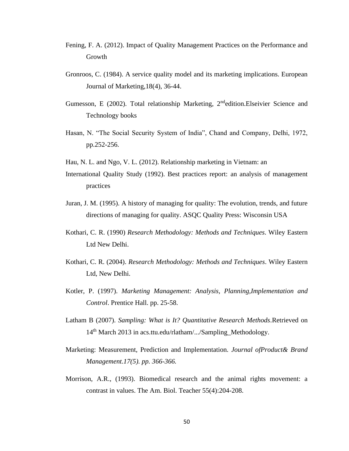- Fening, F. A. (2012). Impact of Quality Management Practices on the Performance and Growth
- Gronroos, C. (1984). A service quality model and its marketing implications. European Journal of Marketing,18(4), 36-44.
- Gumesson, E (2002). Total relationship Marketing, 2<sup>nd</sup>edition.Elseivier Science and Technology books
- Hasan, N. "The Social Security System of India", Chand and Company, Delhi, 1972, pp.252-256.
- Hau, N. L. and Ngo, V. L. (2012). Relationship marketing in Vietnam: an
- International Quality Study (1992). Best practices report: an analysis of management practices
- Juran, J. M. (1995). A history of managing for quality: The evolution, trends, and future directions of managing for quality. ASQC Quality Press: Wisconsin USA
- Kothari, C. R. (1990) *Research Methodology: Methods and Techniques*. Wiley Eastern Ltd New Delhi.
- Kothari, C. R. (2004). *Research Methodology: Methods and Techniques*. Wiley Eastern Ltd, New Delhi.
- Kotler, P. (1997). *Marketing Management: Analysis, Planning,Implementation and Control*. Prentice Hall. pp. 25-58.
- Latham B (2007). *Sampling: What is It? Quantitative Research Methods*.Retrieved on 14<sup>th</sup> March 2013 in acs.ttu.edu/rlatham/.../Sampling\_Methodology.
- Marketing: Measurement, Prediction and Implementation*. Journal ofProduct& Brand Management.17(5). pp. 366-366.*
- Morrison, A.R., (1993). Biomedical research and the animal rights movement: a contrast in values. The Am. Biol. Teacher 55(4):204-208.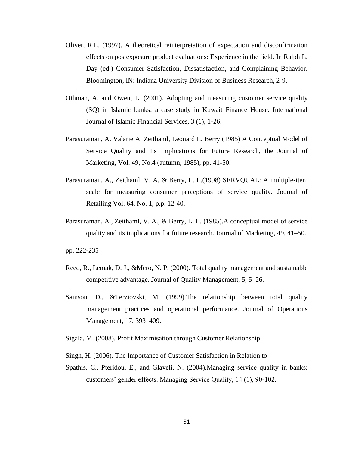- Oliver, R.L. (1997). A theoretical reinterpretation of expectation and disconfirmation effects on postexposure product evaluations: Experience in the field. In Ralph L. Day (ed.) Consumer Satisfaction, Dissatisfaction, and Complaining Behavior. Bloomington, IN: Indiana University Division of Business Research, 2-9.
- Othman, A. and Owen, L. (2001). Adopting and measuring customer service quality (SQ) in Islamic banks: a case study in Kuwait Finance House. International Journal of Islamic Financial Services, 3 (1), 1-26.
- Parasuraman, A. Valarie A. Zeithaml, Leonard L. Berry (1985) A Conceptual Model of Service Quality and Its Implications for Future Research, the Journal of Marketing, Vol. 49, No.4 (autumn, 1985), pp. 41-50.
- Parasuraman, A., Zeithaml, V. A. & Berry, L. L.(1998) SERVQUAL: A multiple-item scale for measuring consumer perceptions of service quality. Journal of Retailing Vol. 64, No. 1, p.p. 12-40.
- Parasuraman, A., Zeithaml, V. A., & Berry, L. L. (1985).A conceptual model of service quality and its implications for future research. Journal of Marketing, 49, 41–50.

pp. 222-235

- Reed, R., Lemak, D. J., &Mero, N. P. (2000). Total quality management and sustainable competitive advantage. Journal of Quality Management, 5, 5–26.
- Samson, D., &Terziovski, M. (1999).The relationship between total quality management practices and operational performance. Journal of Operations Management, 17, 393–409.
- Sigala, M. (2008). Profit Maximisation through Customer Relationship
- Singh, H. (2006). The Importance of Customer Satisfaction in Relation to
- Spathis, C., Pteridou, E., and Glaveli, N. (2004).Managing service quality in banks: customers' gender effects. Managing Service Quality, 14 (1), 90-102.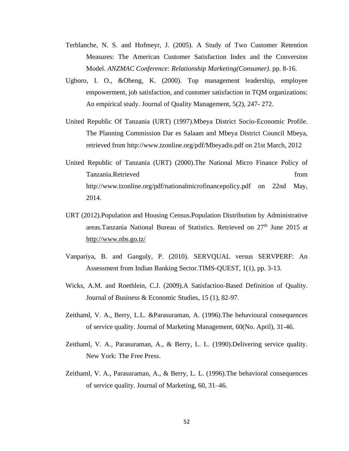- Terblanche, N. S. and Hofmeyr, J. (2005). A Study of Two Customer Retention Measures: The American Customer Satisfaction Index and the Conversion Model. *ANZMAC Conference: Relationship Marketing(Consumer)*. pp. 8-16.
- Ugboro, I. O., &Obeng, K. (2000). Top management leadership, employee empowerment, job satisfaction, and customer satisfaction in TQM organizations: An empirical study. Journal of Quality Management, 5(2), 247- 272.
- United Republic Of Tanzania (URT) (1997).Mbeya District Socio-Economic Profile. The Planning Commission Dar es Salaam and Mbeya District Council Mbeya, retrieved from http://www.tzonline.org/pdf/Mbeyadis.pdf on 21st March, 2012
- United Republic of Tanzania (URT) (2000).The National Micro Finance Policy of Tanzania.Retrieved from http://www.tzonline.org/pdf/nationalmicrofinancepolicy.pdf on 22nd May, 2014.
- URT (2012).Population and Housing Census.Population Distribution by Administrative areas.Tanzania National Bureau of Statistics. Retrieved on 27<sup>th</sup> June 2015 at <http://www.nbs.go.tz/>
- Vanpariya, B. and Ganguly, P. (2010). SERVQUAL versus SERVPERF: An Assessment from Indian Banking Sector.TIMS-QUEST, 1(1), pp. 3-13.
- Wicks, A.M. and Roethlein, C.J. (2009).A Satisfaction-Based Definition of Quality. Journal of Business & Economic Studies, 15 (1), 82-97.
- Zeithaml, V. A., Berry, L.L. &Parasuraman, A. (1996).The behavioural consequences of service quality. Journal of Marketing Management, 60(No. April), 31-46.
- Zeithaml, V. A., Parasuraman, A., & Berry, L. L. (1990).Delivering service quality. New York: The Free Press.
- Zeithaml, V. A., Parasuraman, A., & Berry, L. L. (1996).The behavioral consequences of service quality. Journal of Marketing, 60, 31–46.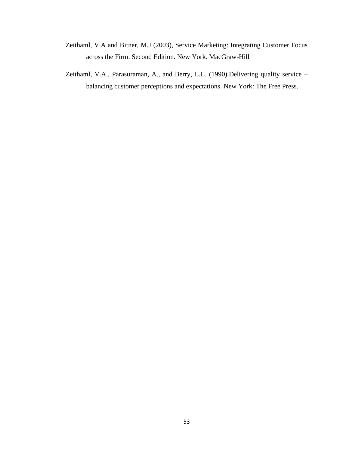- Zeithaml, V.A and Bitner, M.J (2003), Service Marketing: Integrating Customer Focus across the Firm. Second Edition. New York. MacGraw-Hill
- Zeithaml, V.A., Parasuraman, A., and Berry, L.L. (1990).Delivering quality service balancing customer perceptions and expectations. New York: The Free Press.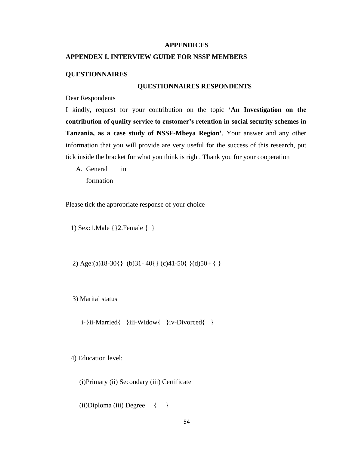#### **APPENDICES**

#### **APPENDEX I. INTERVIEW GUIDE FOR NSSF MEMBERS**

#### **QUESTIONNAIRES**

#### **QUESTIONNAIRES RESPONDENTS**

Dear Respondents

I kindly, request for your contribution on the topic **'An Investigation on the contribution of quality service to customer's retention in social security schemes in Tanzania, as a case study of NSSF-Mbeya Region'**. Your answer and any other information that you will provide are very useful for the success of this research, put tick inside the bracket for what you think is right. Thank you for your cooperation

A. General in formation

Please tick the appropriate response of your choice

1) Sex:1.Male {}2.Female { }

2) Age:(a)18-30{} (b)31- 40{} (c)41-50{ }(d)50+ { }

3) Marital status

i-}ii-Married{ }iii-Widow{ }iv-Divorced{ }

4) Education level:

(i)Primary (ii) Secondary (iii) Certificate

 $(ii)$ Diploma  $(iii)$  Degree  $\{ \}$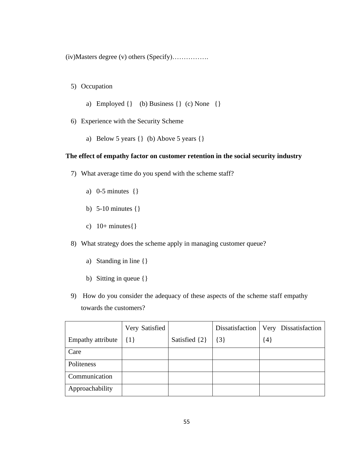(iv)Masters degree (v) others (Specify)…………….

5) Occupation

- a) Employed  $\{\}$  (b) Business  $\{\}$  (c) None  $\{\}$
- 6) Experience with the Security Scheme
	- a) Below 5 years {} (b) Above 5 years {}

#### **The effect of empathy factor on customer retention in the social security industry**

- 7) What average time do you spend with the scheme staff?
	- a) 0-5 minutes {}
	- b) 5-10 minutes {}
	- c)  $10+$  minutes $\{\}$
- 8) What strategy does the scheme apply in managing customer queue?
	- a) Standing in line {}
	- b) Sitting in queue {}
- 9) How do you consider the adequacy of these aspects of the scheme staff empathy towards the customers?

|                   | Very Satisfied |               |         | Dissatisfaction   Very Dissatisfaction |
|-------------------|----------------|---------------|---------|----------------------------------------|
| Empathy attribute | $\{1\}$        | Satisfied {2} | $\{3\}$ | ${4}$                                  |
| Care              |                |               |         |                                        |
| Politeness        |                |               |         |                                        |
| Communication     |                |               |         |                                        |
| Approachability   |                |               |         |                                        |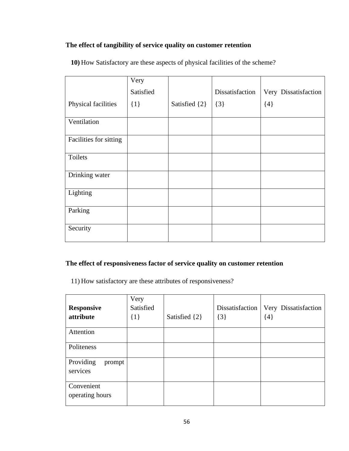# **The effect of tangibility of service quality on customer retention**

|  |  |  | 10) How Satisfactory are these aspects of physical facilities of the scheme? |
|--|--|--|------------------------------------------------------------------------------|
|  |  |  |                                                                              |

|                        | Very      |                   |                 |                      |
|------------------------|-----------|-------------------|-----------------|----------------------|
|                        | Satisfied |                   | Dissatisfaction | Very Dissatisfaction |
| Physical facilities    | $\{1\}$   | Satisfied $\{2\}$ | $\{3\}$         | ${4}$                |
| Ventilation            |           |                   |                 |                      |
| Facilities for sitting |           |                   |                 |                      |
| Toilets                |           |                   |                 |                      |
| Drinking water         |           |                   |                 |                      |
| Lighting               |           |                   |                 |                      |
| Parking                |           |                   |                 |                      |
| Security               |           |                   |                 |                      |

# **The effect of responsiveness factor of service quality on customer retention**

11) How satisfactory are these attributes of responsiveness?

| <b>Responsive</b><br>attribute  | Very<br>Satisfied<br>$\{1\}$ | Satisfied $\{2\}$ | Dissatisfaction<br>$\{3\}$ | Very Dissatisfaction<br>${4}$ |
|---------------------------------|------------------------------|-------------------|----------------------------|-------------------------------|
| Attention                       |                              |                   |                            |                               |
| Politeness                      |                              |                   |                            |                               |
| Providing<br>prompt<br>services |                              |                   |                            |                               |
| Convenient<br>operating hours   |                              |                   |                            |                               |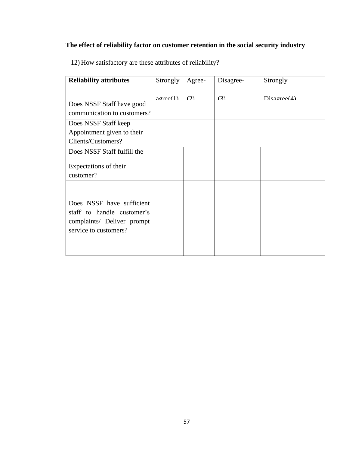# **The effect of reliability factor on customer retention in the social security industry**

| <b>Reliability attributes</b>                                                                                  | Strongly                | Agree- | Disagree- | Strongly       |
|----------------------------------------------------------------------------------------------------------------|-------------------------|--------|-----------|----------------|
|                                                                                                                | $a$ <sub>o</sub> $f(1)$ | (2)    | (3)       | Disagree $(4)$ |
| Does NSSF Staff have good                                                                                      |                         |        |           |                |
| communication to customers?                                                                                    |                         |        |           |                |
| Does NSSF Staff keep                                                                                           |                         |        |           |                |
| Appointment given to their                                                                                     |                         |        |           |                |
| Clients/Customers?                                                                                             |                         |        |           |                |
| Does NSSF Staff fulfill the                                                                                    |                         |        |           |                |
| Expectations of their<br>customer?                                                                             |                         |        |           |                |
| Does NSSF have sufficient<br>staff to handle customer's<br>complaints/ Deliver prompt<br>service to customers? |                         |        |           |                |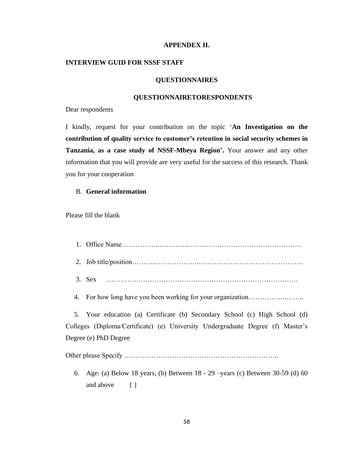#### **APPENDEX II.**

#### **INTERVIEW GUID FOR NSSF STAFF**

#### **QUESTIONNAIRES**

#### **QUESTIONNAIRETORESPONDENTS**

Dear respondents

I kindly, request for your contribution on the topic '**An Investigation on the contribution of quality service to customer's retention in social security schemes in Tanzania, as a case study of NSSF-Mbeya Region'.** Your answer and any other information that you will provide are very useful for the success of this research. Thank you for your cooperation

#### B. **General information**

Please fill the blank

- 1. Office Name……………..…………..………………………………………….
- 2. Job title/position………..……………….……………………………………….
- 3. Sex …………………………………………………………………………

4. For how long have you been working for your organization……………..……..

 5. Your education (a) Certificate (b) Secondary School (c) High School (d) Colleges (Diploma/Certificate) (e) University Undergraduate Degree (f) Master's Degree (e) PhD Degree

Other please Specify …………………………………………………………..

6. Age: (a) Below 18 years, (b) Between 18 - 29 –years (c) Between 30-59 (d) 60 and above { }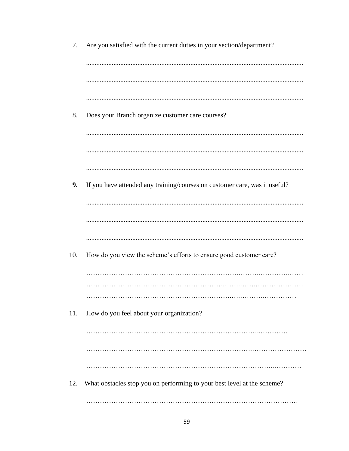| 7.  | Are you satisfied with the current duties in your section/department?      |
|-----|----------------------------------------------------------------------------|
|     |                                                                            |
|     |                                                                            |
|     |                                                                            |
| 8.  | Does your Branch organize customer care courses?                           |
|     |                                                                            |
|     |                                                                            |
|     |                                                                            |
| 9.  | If you have attended any training/courses on customer care, was it useful? |
|     |                                                                            |
|     |                                                                            |
|     |                                                                            |
| 10. | How do you view the scheme's efforts to ensure good customer care?         |
|     |                                                                            |
|     |                                                                            |
| 11. | How do you feel about your organization?                                   |
|     |                                                                            |
|     |                                                                            |
|     |                                                                            |
| 12. | What obstacles stop you on performing to your best level at the scheme?    |
|     |                                                                            |
|     |                                                                            |